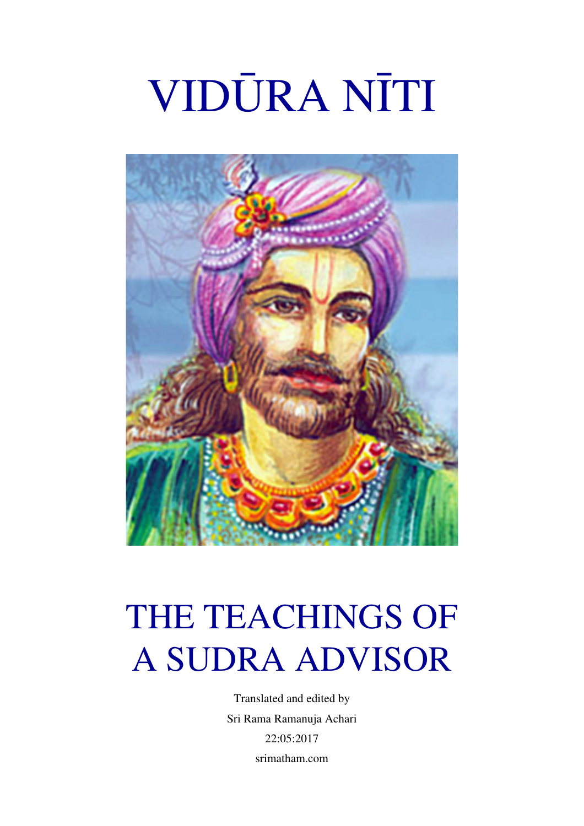# VIDŪRA NĪTI



# THE TEACHINGS OF A SUDRA ADVISOR

Translated and edited by Sri Rama Ramanuja Achari 22:05:2017 srimatham.com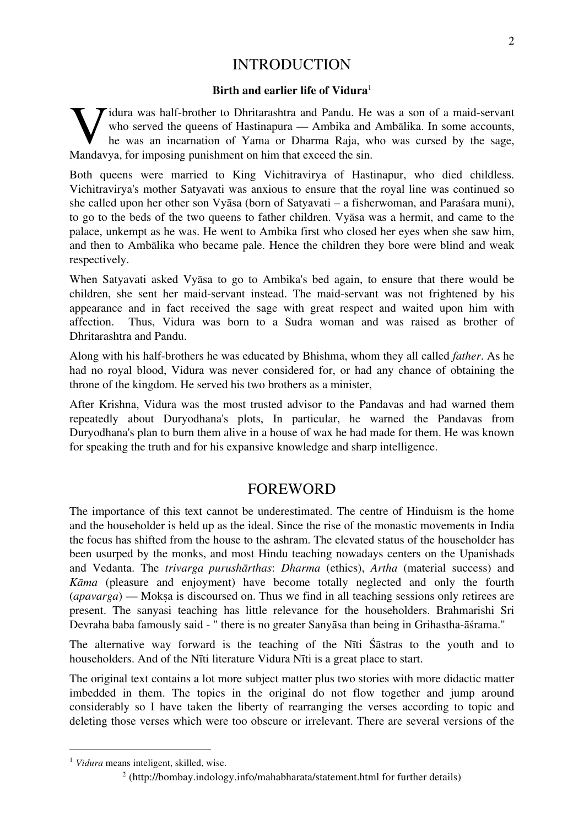#### INTRODUCTION

#### **Birth and earlier life of Vidura**<sup>1</sup>

I idura was half-brother to Dhritarashtra and Pandu. He was a son of a maid-servant who served the queens of Hastinapura — Ambika and Ambālika. In some accounts, he was an incarnation of Yama or Dharma Raja, who was cursed by the sage, Widura was half-brother to Dhritarashtra and Pandu. He who served the queens of Hastinapura — Ambika and he was an incarnation of Yama or Dharma Raja, when Mandavya, for imposing punishment on him that exceed the sin.

Both queens were married to King Vichitravirya of Hastinapur, who died childless. Vichitravirya's mother Satyavati was anxious to ensure that the royal line was continued so she called upon her other son Vyāsa (born of Satyavati – a fisherwoman, and Paraśara muni), to go to the beds of the two queens to father children. Vyāsa was a hermit, and came to the palace, unkempt as he was. He went to Ambika first who closed her eyes when she saw him, and then to Ambālika who became pale. Hence the children they bore were blind and weak respectively.

When Satyavati asked Vyāsa to go to Ambika's bed again, to ensure that there would be children, she sent her maid-servant instead. The maid-servant was not frightened by his appearance and in fact received the sage with great respect and waited upon him with affection. Thus, Vidura was born to a Sudra woman and was raised as brother of Dhritarashtra and Pandu.

Along with his half-brothers he was educated by Bhishma, whom they all called *father*. As he had no royal blood, Vidura was never considered for, or had any chance of obtaining the throne of the kingdom. He served his two brothers as a minister,

After Krishna, Vidura was the most trusted advisor to the Pandavas and had warned them repeatedly about Duryodhana's plots, In particular, he warned the Pandavas from Duryodhana's plan to burn them alive in a house of wax he had made for them. He was known for speaking the truth and for his expansive knowledge and sharp intelligence.

#### FOREWORD

The importance of this text cannot be underestimated. The centre of Hinduism is the home and the householder is held up as the ideal. Since the rise of the monastic movements in India the focus has shifted from the house to the ashram. The elevated status of the householder has been usurped by the monks, and most Hindu teaching nowadays centers on the Upanishads and Vedanta. The *trivarga purushārthas*: *Dharma* (ethics), *Artha* (material success) and *Kāma* (pleasure and enjoyment) have become totally neglected and only the fourth (*apavarga*) — Mokṣa is discoursed on. Thus we find in all teaching sessions only retirees are present. The sanyasi teaching has little relevance for the householders. Brahmarishi Sri Devraha baba famously said - " there is no greater Sanyāsa than being in Grihastha-āśrama."

The alternative way forward is the teaching of the Nīti Śāstras to the youth and to householders. And of the Nīti literature Vidura Nīti is a great place to start.

The original text contains a lot more subject matter plus two stories with more didactic matter imbedded in them. The topics in the original do not flow together and jump around considerably so I have taken the liberty of rearranging the verses according to topic and deleting those verses which were too obscure or irrelevant. There are several versions of the

<sup>&</sup>lt;sup>1</sup> Vidura means inteligent, skilled, wise.

<sup>2</sup> (http://bombay.indology.info/mahabharata/statement.html for further details)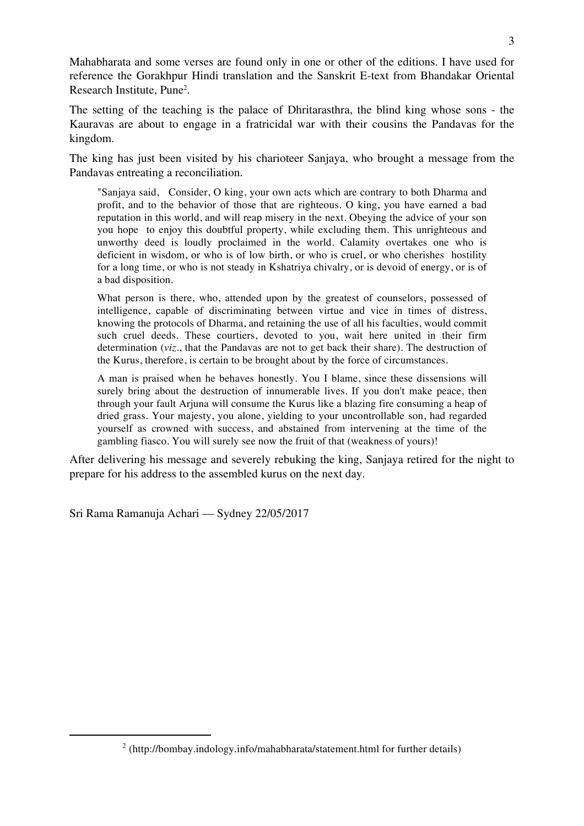Mahabharata and some verses are found only in one or other of the editions. I have used for reference the Gorakhpur Hindi translation and the Sanskrit E-text from Bhandakar Oriental Research Institute, Pune2 .

The setting of the teaching is the palace of Dhritarasthra, the blind king whose sons - the Kauravas are about to engage in a fratricidal war with their cousins the Pandavas for the kingdom.

The king has just been visited by his charioteer Sanjaya, who brought a message from the Pandavas entreating a reconciliation.

"Sanjaya said, Consider, O king, your own acts which are contrary to both Dharma and profit, and to the behavior of those that are righteous. O king, you have earned a bad reputation in this world, and will reap misery in the next. Obeying the advice of your son you hope to enjoy this doubtful property, while excluding them. This unrighteous and unworthy deed is loudly proclaimed in the world. Calamity overtakes one who is deficient in wisdom, or who is of low birth, or who is cruel, or who cherishes hostility for a long time, or who is not steady in Kshatriya chivalry, or is devoid of energy, or is of a bad disposition.

What person is there, who, attended upon by the greatest of counselors, possessed of intelligence, capable of discriminating between virtue and vice in times of distress, knowing the protocols of Dharma, and retaining the use of all his faculties, would commit such cruel deeds. These courtiers, devoted to you, wait here united in their firm determination (*viz*., that the Pandavas are not to get back their share). The destruction of the Kurus, therefore, is certain to be brought about by the force of circumstances.

A man is praised when he behaves honestly. You I blame, since these dissensions will surely bring about the destruction of innumerable lives. If you don't make peace, then through your fault Arjuna will consume the Kurus like a blazing fire consuming a heap of dried grass. Your majesty, you alone, yielding to your uncontrollable son, had regarded yourself as crowned with success, and abstained from intervening at the time of the gambling fiasco. You will surely see now the fruit of that (weakness of yours)!

After delivering his message and severely rebuking the king, Sanjaya retired for the night to prepare for his address to the assembled kurus on the next day.

Sri Rama Ramanuja Achari — Sydney 22/05/2017

 <sup>2</sup> (http://bombay.indology.info/mahabharata/statement.html for further details)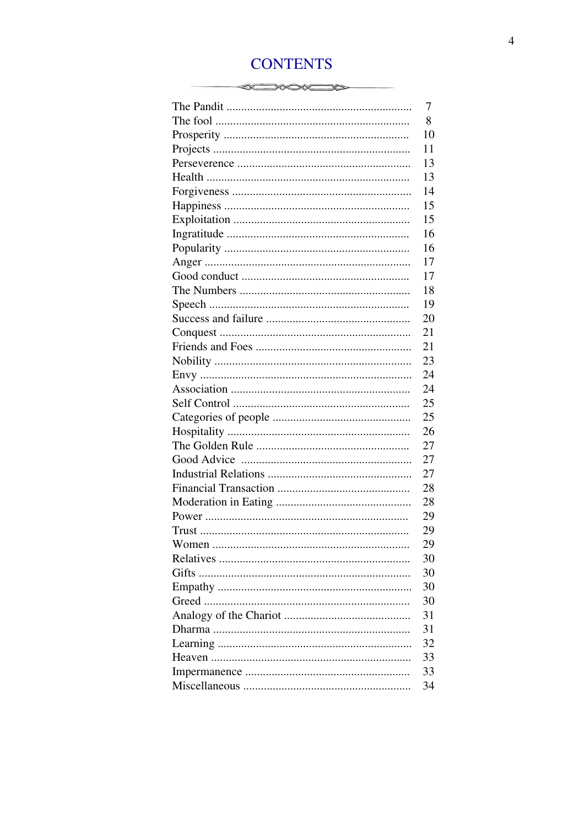### **CONTENTS**

| 7<br>8<br>10<br>11<br>13<br>13<br>14<br>15<br>15<br>16<br>16<br>17<br>17<br>18<br>19<br>20<br>21<br>21<br>23<br>24<br>24<br>25<br>25<br>26<br>27 |
|--------------------------------------------------------------------------------------------------------------------------------------------------|
|                                                                                                                                                  |
|                                                                                                                                                  |
|                                                                                                                                                  |
|                                                                                                                                                  |
|                                                                                                                                                  |
|                                                                                                                                                  |
|                                                                                                                                                  |
|                                                                                                                                                  |
|                                                                                                                                                  |
|                                                                                                                                                  |
|                                                                                                                                                  |
|                                                                                                                                                  |
|                                                                                                                                                  |
|                                                                                                                                                  |
|                                                                                                                                                  |
|                                                                                                                                                  |
|                                                                                                                                                  |
|                                                                                                                                                  |
|                                                                                                                                                  |
|                                                                                                                                                  |
|                                                                                                                                                  |
|                                                                                                                                                  |
|                                                                                                                                                  |
|                                                                                                                                                  |
|                                                                                                                                                  |
|                                                                                                                                                  |
| 27                                                                                                                                               |
| 27                                                                                                                                               |
| 28                                                                                                                                               |
| 28                                                                                                                                               |
| 29                                                                                                                                               |
| 29                                                                                                                                               |
| 29                                                                                                                                               |
| 30                                                                                                                                               |
| 30                                                                                                                                               |
| 30                                                                                                                                               |
| 30                                                                                                                                               |
| 31                                                                                                                                               |
| 31                                                                                                                                               |
| 32                                                                                                                                               |
| 33                                                                                                                                               |
| 33                                                                                                                                               |
| 34                                                                                                                                               |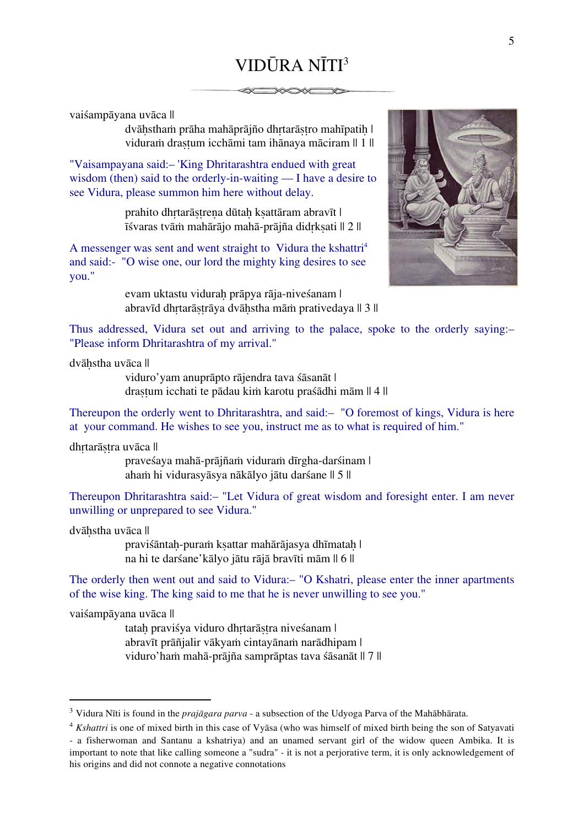## VIDŪRA NĪTI3

vaiśampāyana uvāca ||

dvāhstham prāha mahāprājño dhrtarāstro mahīpatih | viduram draștum icchāmi tam ihānaya māciram || 1 ||

"Vaisampayana said:– 'King Dhritarashtra endued with great wisdom (then) said to the orderly-in-waiting — I have a desire to see Vidura, please summon him here without delay.

> prahito dhrtarāstrena dūtah ksattāram abravīt | īśvaras tvāṁ mahārājo mahā-prājña didṛkṣati || 2 ||

A messenger was sent and went straight to Vidura the kshattri<sup>4</sup> and said:- "O wise one, our lord the mighty king desires to see you."

> evam uktastu viduraḥ prāpya rāja-niveśanam | abravīd dhrtarāstrāya dvāhstha mām prativedaya || 3 ||



Thus addressed, Vidura set out and arriving to the palace, spoke to the orderly saying:– "Please inform Dhritarashtra of my arrival."

dvāḥstha uvāca ||

viduro'yam anuprāpto rājendra tava śāsanāt | draṣṭum icchati te pādau kiṁ karotu praśādhi mām || 4 ||

Thereupon the orderly went to Dhritarashtra, and said:– "O foremost of kings, Vidura is here at your command. He wishes to see you, instruct me as to what is required of him."

dhṛtarāṣṭra uvāca ||

praveśaya mahā-prājñaṁ viduraṁ dīrgha-darśinam | ahaṁ hi vidurasyāsya nākālyo jātu darśane || 5 ||

Thereupon Dhritarashtra said:– "Let Vidura of great wisdom and foresight enter. I am never unwilling or unprepared to see Vidura."

dvāhstha uvāca ||

praviśāntah-puraṁ ksattar mahārājasya dhīmatah | na hi te darśane'kālyo jātu rājā bravīti mām || 6 ||

The orderly then went out and said to Vidura:– "O Kshatri, please enter the inner apartments of the wise king. The king said to me that he is never unwilling to see you."

vaiśampāyana uvāca ||

tatah praviśya viduro dhrtarāstra niveśanam | abravīt prāñjalir vākyaṁ cintayānaṁ narādhipam | viduro'haṁ mahā-prājña samprāptas tava śāsanāt || 7 ||

 <sup>3</sup> Vidura Nīti is found in the *prajāgara parva* - a subsection of the Udyoga Parva of the Mahābhārata.

<sup>4</sup> *Kshattri* is one of mixed birth in this case of Vyāsa (who was himself of mixed birth being the son of Satyavati - a fisherwoman and Santanu a kshatriya) and an unamed servant girl of the widow queen Ambika. It is important to note that like calling someone a "sudra" - it is not a perjorative term, it is only acknowledgement of his origins and did not connote a negative connotations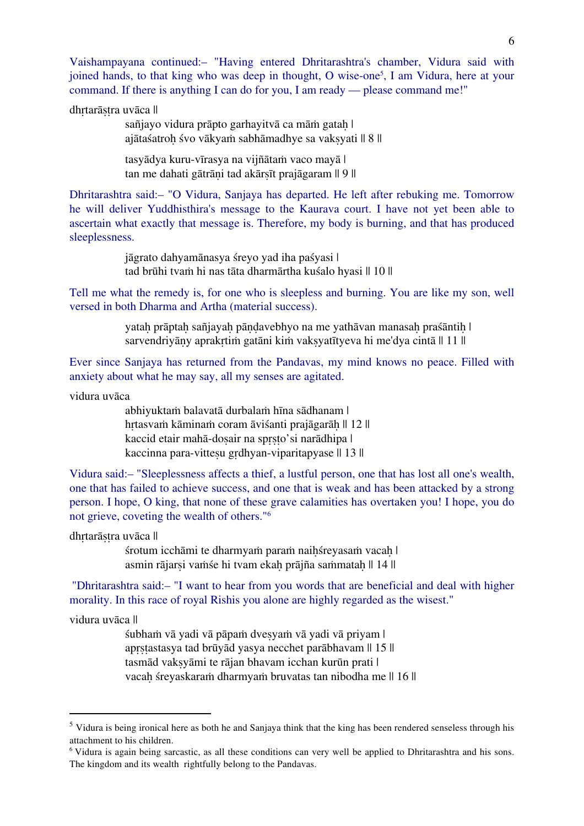Vaishampayana continued:– "Having entered Dhritarashtra's chamber, Vidura said with joined hands, to that king who was deep in thought, O wise-one<sup>5</sup>, I am Vidura, here at your command. If there is anything I can do for you, I am ready — please command me!"

dhrtarāṣṭra uvāca ||

sañjayo vidura prāpto garhayitvā ca mām gatah | ajātaśatroh śvo vākyaṁ sabhāmadhye sa vaksyati || 8 ||

tasyādya kuru-vīrasya na vijñātaṁ vaco mayā | tan me dahati gātrāni tad akārsīt prajāgaram || 9 ||

Dhritarashtra said:– "O Vidura, Sanjaya has departed. He left after rebuking me. Tomorrow he will deliver Yuddhisthira's message to the Kaurava court. I have not yet been able to ascertain what exactly that message is. Therefore, my body is burning, and that has produced sleeplessness.

> jāgrato dahyamānasya śreyo yad iha paśyasi | tad brūhi tvaṁ hi nas tāta dharmārtha kuśalo hyasi || 10 ||

Tell me what the remedy is, for one who is sleepless and burning. You are like my son, well versed in both Dharma and Artha (material success).

> yatah prāptah sañjayah pāndavebhyo na me yathāvan manasah praśāntih | sarvendriyāny aprakrtim gatāni kim vaksyatītyeva hi me'dya cintā || 11 ||

Ever since Sanjaya has returned from the Pandavas, my mind knows no peace. Filled with anxiety about what he may say, all my senses are agitated.

vidura uvāca

abhiyuktaṁ balavatā durbalaṁ hīna sādhanam | hrtasvam kāminam coram āviśanti prajāgarāh || 12 || kaccid etair mahā-dosair na sprsto'si narādhipa | kaccinna para-vitteṣu grdhyan-viparitapyase || 13 ||

Vidura said:– "Sleeplessness affects a thief, a lustful person, one that has lost all one's wealth, one that has failed to achieve success, and one that is weak and has been attacked by a strong person. I hope, O king, that none of these grave calamities has overtaken you! I hope, you do not grieve, coveting the wealth of others."6

dhrtarāstra uvāca ||

śrotum icchāmi te dharmyam param naihśreyasam vacah | asmin rājarsi vaṁśe hi tvam ekah prājña saṁmatah || 14 ||

"Dhritarashtra said:– "I want to hear from you words that are beneficial and deal with higher morality. In this race of royal Rishis you alone are highly regarded as the wisest."

vidura uvāca ||

śubhaṁ vā yadi vā pāpaṁ dveṣyaṁ vā yadi vā priyam | aprstastasya tad brūyād yasya necchet parābhavam || 15 || tasmād vakṣyāmi te rājan bhavam icchan kurūn prati | vacah śreyaskaraṁ dharmyaṁ bruvatas tan nibodha me || 16 ||

<sup>&</sup>lt;sup>5</sup> Vidura is being ironical here as both he and Sanjaya think that the king has been rendered senseless through his attachment to his children.

<sup>6</sup> Vidura is again being sarcastic, as all these conditions can very well be applied to Dhritarashtra and his sons. The kingdom and its wealth rightfully belong to the Pandavas.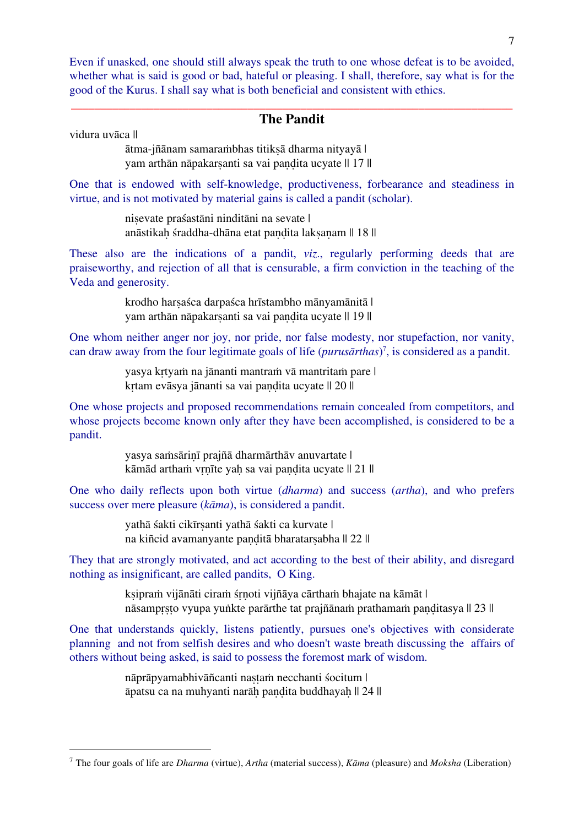Even if unasked, one should still always speak the truth to one whose defeat is to be avoided, whether what is said is good or bad, hateful or pleasing. I shall, therefore, say what is for the good of the Kurus. I shall say what is both beneficial and consistent with ethics.

#### \_\_\_\_\_\_\_\_\_\_\_\_\_\_\_\_\_\_\_\_\_\_\_\_\_\_\_\_\_\_\_\_\_\_\_\_\_\_\_\_\_\_\_\_\_\_\_\_\_\_\_\_\_\_\_\_\_\_\_\_\_\_\_\_\_\_\_\_\_\_\_\_\_\_\_ **The Pandit**

vidura uvāca ||

ātma-jñānam samaraṁbhas titikṣā dharma nityayā | yam arthān nāpakarsanti sa vai pandita ucyate || 17 ||

One that is endowed with self-knowledge, productiveness, forbearance and steadiness in virtue, and is not motivated by material gains is called a pandit (scholar).

> niṣevate praśastāni ninditāni na sevate | anāstikah śraddha-dhāna etat pandita laksanam || 18 ||

These also are the indications of a pandit, *viz*., regularly performing deeds that are praiseworthy, and rejection of all that is censurable, a firm conviction in the teaching of the Veda and generosity.

> krodho harṣaśca darpaśca hrīstambho mānyamānitā | yam arthān nāpakarsanti sa vai pandita ucyate || 19 ||

One whom neither anger nor joy, nor pride, nor false modesty, nor stupefaction, nor vanity, can draw away from the four legitimate goals of life (*purusārthas*) 7 , is considered as a pandit.

> yasya kṛtyaṁ na jānanti mantraṁ vā mantritaṁ pare | krtam evāsya jānanti sa vai pandita ucyate || 20 ||

One whose projects and proposed recommendations remain concealed from competitors, and whose projects become known only after they have been accomplished, is considered to be a pandit.

> yasya saṁsāriṇī prajñā dharmārthāv anuvartate | kāmād artham vrnīte yah sa vai pandita ucyate || 21 ||

One who daily reflects upon both virtue (*dharma*) and success (*artha*), and who prefers success over mere pleasure (*kāma*), is considered a pandit.

> vathā śakti cikīrsanti vathā śakti ca kurvate | na kiñcid avamanyante panditā bharatarsabha || 22 ||

They that are strongly motivated, and act according to the best of their ability, and disregard nothing as insignificant, are called pandits, O King.

> ksipram vijānāti ciram śrnoti vijñāya cārtham bhajate na kāmāt | nāsamprsto vyupa yuṅkte parārthe tat prajñānaṁ prathamaṁ panditasya || 23 ||

One that understands quickly, listens patiently, pursues one's objectives with considerate planning and not from selfish desires and who doesn't waste breath discussing the affairs of others without being asked, is said to possess the foremost mark of wisdom.

> nāprāpyamabhivāñcanti nastam necchanti śocitum | āpatsu ca na muhyanti narāḥ paṇḍita buddhayaḥ || 24 ||

 <sup>7</sup> The four goals of life are *Dharma* (virtue), *Artha* (material success), *Kāma* (pleasure) and *Moksha* (Liberation)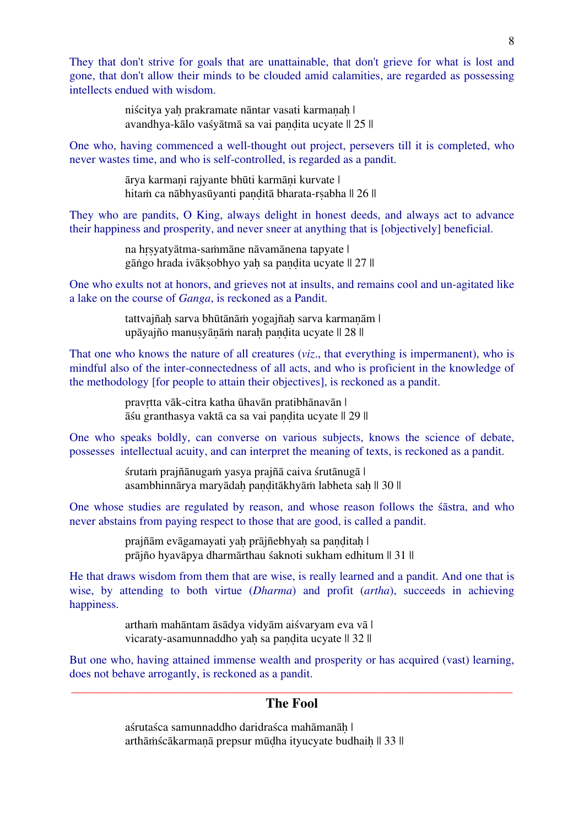They that don't strive for goals that are unattainable, that don't grieve for what is lost and gone, that don't allow their minds to be clouded amid calamities, are regarded as possessing intellects endued with wisdom.

> niścitya yah prakramate nāntar vasati karmanah | avandhya-kālo vaśyātmā sa vai paṇḍita ucyate || 25 ||

One who, having commenced a well-thought out project, persevers till it is completed, who never wastes time, and who is self-controlled, is regarded as a pandit.

> ārya karmaṇi rajyante bhūti karmāṇi kurvate | hitam ca nābhyasūyanti paṇḍitā bharata-rṣabha || 26 ||

They who are pandits, O King, always delight in honest deeds, and always act to advance their happiness and prosperity, and never sneer at anything that is [objectively] beneficial.

> na hṛṣyatyātma-saṁmāne nāvamānena tapyate | gāṅgo hrada ivāksobhyo yah sa pandita ucyate || 27 ||

One who exults not at honors, and grieves not at insults, and remains cool and un-agitated like a lake on the course of *Ganga*, is reckoned as a Pandit.

> tattvajñah sarva bhūtānām yogajñah sarva karmanām | upāyajño manusyānāṁ narah pandita ucyate || 28 ||

That one who knows the nature of all creatures (*viz*., that everything is impermanent), who is mindful also of the inter-connectedness of all acts, and who is proficient in the knowledge of the methodology [for people to attain their objectives], is reckoned as a pandit.

> pravṛtta vāk-citra katha ūhavān pratibhānavān | āśu granthasya vaktā ca sa vai paṇḍita ucyate || 29 ||

One who speaks boldly, can converse on various subjects, knows the science of debate, possesses intellectual acuity, and can interpret the meaning of texts, is reckoned as a pandit.

> śrutaṁ prajñānugaṁ yasya prajñā caiva śrutānugā | asambhinnārya maryādah panditākhyāṁ labheta sah || 30 ||

One whose studies are regulated by reason, and whose reason follows the śāstra, and who never abstains from paying respect to those that are good, is called a pandit.

> prajñām evāgamayati yaḥ prājñebhyaḥ sa panditaḥ | prājño hyavāpya dharmārthau śaknoti sukham edhitum || 31 ||

He that draws wisdom from them that are wise, is really learned and a pandit. And one that is wise, by attending to both virtue (*Dharma*) and profit (*artha*), succeeds in achieving happiness.

> arthaṁ mahāntam āsādya vidyām aiśvaryam eva vā | vicaraty-asamunnaddho yah sa pandita ucyate || 32 ||

But one who, having attained immense wealth and prosperity or has acquired (vast) learning, does not behave arrogantly, is reckoned as a pandit.

#### \_\_\_\_\_\_\_\_\_\_\_\_\_\_\_\_\_\_\_\_\_\_\_\_\_\_\_\_\_\_\_\_\_\_\_\_\_\_\_\_\_\_\_\_\_\_\_\_\_\_\_\_\_\_\_\_\_\_\_\_\_\_\_\_\_\_\_\_\_\_\_\_\_\_\_ **The Fool**

aśrutaśca samunnaddho daridraśca mahāmanāḥ | arthāṁścākarmaṇā prepsur mūḍha ityucyate budhaiḥ || 33 ||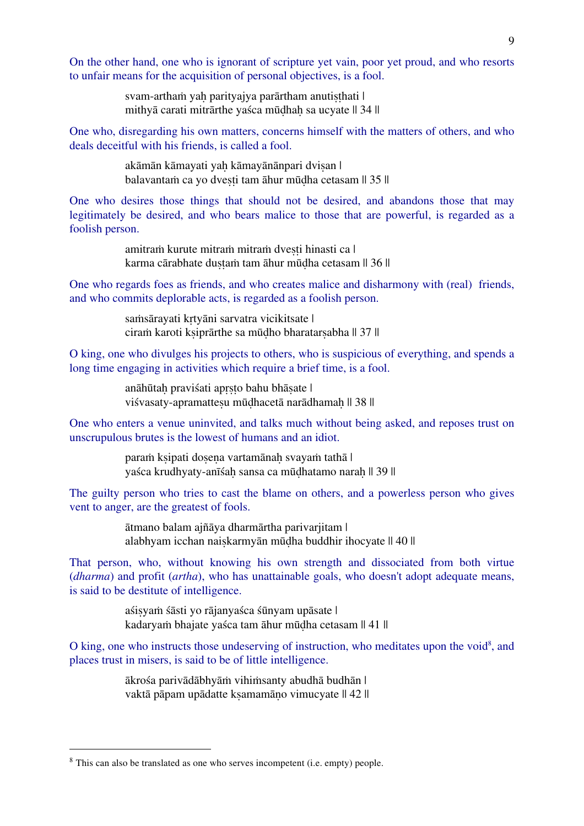On the other hand, one who is ignorant of scripture yet vain, poor yet proud, and who resorts to unfair means for the acquisition of personal objectives, is a fool.

> svam-artham yaḥ parityajya parārtham anutiṣṭhati | mithyā carati mitrārthe yaśca mūḍhaḥ sa ucyate || 34 ||

One who, disregarding his own matters, concerns himself with the matters of others, and who deals deceitful with his friends, is called a fool.

> akāmān kāmayati yah kāmayānānpari dvisan | balavantam ca yo dvesti tam āhur mūdha cetasam || 35 ||

One who desires those things that should not be desired, and abandons those that may legitimately be desired, and who bears malice to those that are powerful, is regarded as a foolish person.

> amitraṁ kurute mitraṁ mitraṁ dvești hinasti ca | karma cārabhate dustam tam āhur mūdha cetasam || 36 ||

One who regards foes as friends, and who creates malice and disharmony with (real) friends, and who commits deplorable acts, is regarded as a foolish person.

> samsārayati krtyāni sarvatra vicikitsate | ciraṁ karoti kṣiprārthe sa mūḍho bharatarṣabha || 37 ||

O king, one who divulges his projects to others, who is suspicious of everything, and spends a long time engaging in activities which require a brief time, is a fool.

> anāhūtaḥ praviśati apṛṣṭo bahu bhāṣate | viśvasaty-apramattesu mūdhacetā narādhamaḥ || 38 ||

One who enters a venue uninvited, and talks much without being asked, and reposes trust on unscrupulous brutes is the lowest of humans and an idiot.

> paraṁ ksipati dosena vartamānah svayam tathā | yaśca krudhyaty-anīśah sansa ca mūdhatamo narah || 39 ||

The guilty person who tries to cast the blame on others, and a powerless person who gives vent to anger, are the greatest of fools.

> ātmano balam ajñāya dharmārtha parivarjitam | alabhyam icchan naiṣkarmyān mūḍha buddhir ihocyate || 40 ||

That person, who, without knowing his own strength and dissociated from both virtue (*dharma*) and profit (*artha*), who has unattainable goals, who doesn't adopt adequate means, is said to be destitute of intelligence.

> aśisyam śāsti yo rājanyaśca śūnyam upāsate | kadaryaṁ bhajate yaśca tam āhur mūḍha cetasam || 41 ||

 $O$  king, one who instructs those undeserving of instruction, who meditates upon the void<sup>8</sup>, and places trust in misers, is said to be of little intelligence.

> ākrośa parivādābhyāṁ vihiṁsanty abudhā budhān | vaktā pāpam upādatte kṣamamāṇo vimucyate || 42 ||

<sup>&</sup>lt;sup>8</sup> This can also be translated as one who serves incompetent (i.e. empty) people.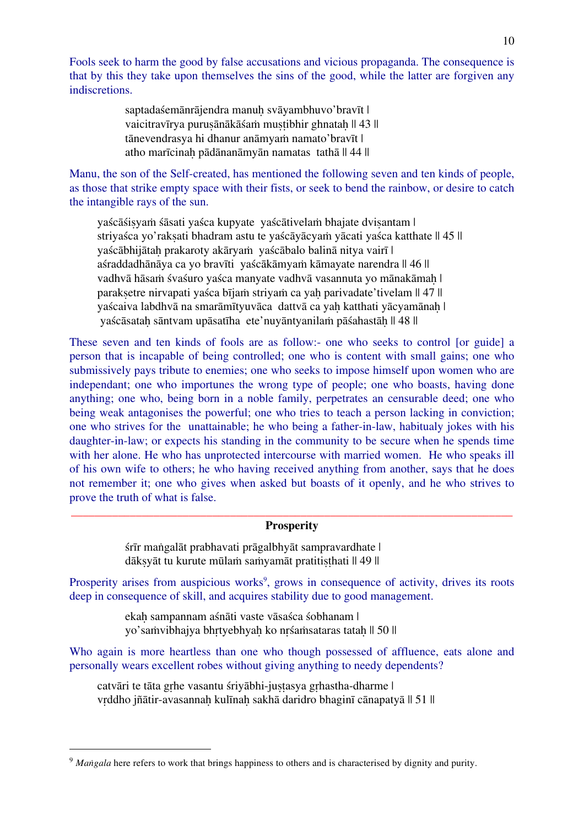Fools seek to harm the good by false accusations and vicious propaganda. The consequence is that by this they take upon themselves the sins of the good, while the latter are forgiven any indiscretions.

> saptadaśemānrājendra manuh svāyambhuvo'bravīt | vaicitravīrya purusānākāśam mustibhir ghnatah || 43 || tānevendrasya hi dhanur anāmyaṁ namato'bravīt | atho marīcinaḥ pādānanāmyān namatas tathā || 44 ||

Manu, the son of the Self-created, has mentioned the following seven and ten kinds of people, as those that strike empty space with their fists, or seek to bend the rainbow, or desire to catch the intangible rays of the sun.

yaścāśi syam śāsati yaśca kupyate yaścā tivelam bhajate dvisantam | striyaśca yo'rakṣati bhadram astu te yaścāyācyaṁ yācati yaśca katthate || 45 || yaścābhijātaḥ prakaroty akāryaṁ yaścābalo balinā nitya vairī | aśraddadhānāya ca yo bravīti yaścākāmyaṁ kāmayate narendra || 46 || vadhvā hāsaṁ śvaśuro yaśca manyate vadhvā vasannuta yo mānakāmaḥ | paraksetre nirvapati yaśca bījam striyam ca yah parivadate'tivelam || 47 || yaścaiva labdhvā na smarāmītyuvāca dattvā ca yah katthati yācyamānah | yaścāsataḥ sāntvam upāsatīha ete'nuyāntyanilaṁ pāśahastāḥ || 48 ||

These seven and ten kinds of fools are as follow:- one who seeks to control [or guide] a person that is incapable of being controlled; one who is content with small gains; one who submissively pays tribute to enemies; one who seeks to impose himself upon women who are independant; one who importunes the wrong type of people; one who boasts, having done anything; one who, being born in a noble family, perpetrates an censurable deed; one who being weak antagonises the powerful; one who tries to teach a person lacking in conviction; one who strives for the unattainable; he who being a father-in-law, habitualy jokes with his daughter-in-law; or expects his standing in the community to be secure when he spends time with her alone. He who has unprotected intercourse with married women. He who speaks ill of his own wife to others; he who having received anything from another, says that he does not remember it; one who gives when asked but boasts of it openly, and he who strives to prove the truth of what is false.

#### \_\_\_\_\_\_\_\_\_\_\_\_\_\_\_\_\_\_\_\_\_\_\_\_\_\_\_\_\_\_\_\_\_\_\_\_\_\_\_\_\_\_\_\_\_\_\_\_\_\_\_\_\_\_\_\_\_\_\_\_\_\_\_\_\_\_\_\_\_\_\_\_\_\_\_ **Prosperity**

śrīr maṅgalāt prabhavati prāgalbhyāt sampravardhate | dāksvāt tu kurute mūlam samyamāt pratitisthati || 49 ||

Prosperity arises from auspicious works<sup>9</sup>, grows in consequence of activity, drives its roots deep in consequence of skill, and acquires stability due to good management.

> ekah sampannam aśnāti vaste vāsaśca śobhanam | yo'saṁvibhajya bhṛtyebhyaḥ ko nṛśaṁsataras tataḥ || 50 ||

Who again is more heartless than one who though possessed of affluence, eats alone and personally wears excellent robes without giving anything to needy dependents?

catvāri te tāta gṛhe vasantu śriyābhi-juṣṭasya gṛhastha-dharme | vrddho jñātir-avasannah kulīnah sakhā daridro bhaginī cānapatyā || 51 ||

<sup>&</sup>lt;sup>9</sup> *Manveala* here refers to work that brings happiness to others and is characterised by dignity and purity.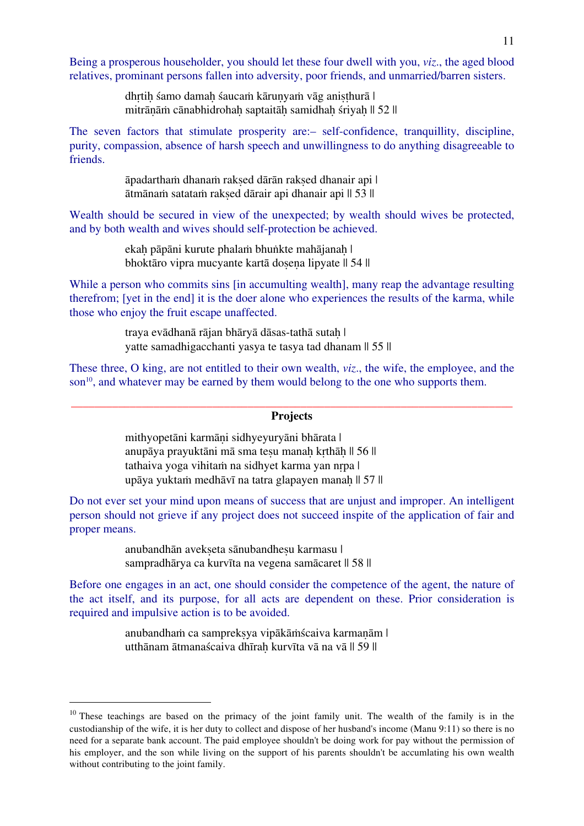Being a prosperous householder, you should let these four dwell with you, *viz*., the aged blood relatives, prominant persons fallen into adversity, poor friends, and unmarried/barren sisters.

> dhrtih śamo damah śaucaṁ kārunyaṁ vāg anisthurā | mitrānām cānabhidrohah saptaitāh samidhah śriyah || 52 ||

The seven factors that stimulate prosperity are:– self-confidence, tranquillity, discipline, purity, compassion, absence of harsh speech and unwillingness to do anything disagreeable to friends.

> āpadarthaṁ dhanaṁ rakṣed dārān rakṣed dhanair api | ātmānaṁ satataṁ rakṣed dārair api dhanair api || 53 ||

Wealth should be secured in view of the unexpected; by wealth should wives be protected, and by both wealth and wives should self-protection be achieved.

> ekah pāpāni kurute phalam bhuṅkte mahājanaḥ | bhoktāro vipra mucyante kartā dosena lipyate || 54 ||

While a person who commits sins [in accumulting wealth], many reap the advantage resulting therefrom; [yet in the end] it is the doer alone who experiences the results of the karma, while those who enjoy the fruit escape unaffected.

> traya evādhanā rājan bhāryā dāsas-tathā sutaḥ | yatte samadhigacchanti yasya te tasya tad dhanam || 55 ||

These three, O king, are not entitled to their own wealth, *viz*., the wife, the employee, and the son<sup>10</sup>, and whatever may be earned by them would belong to the one who supports them.

#### \_\_\_\_\_\_\_\_\_\_\_\_\_\_\_\_\_\_\_\_\_\_\_\_\_\_\_\_\_\_\_\_\_\_\_\_\_\_\_\_\_\_\_\_\_\_\_\_\_\_\_\_\_\_\_\_\_\_\_\_\_\_\_\_\_\_\_\_\_\_\_\_\_\_\_ **Projects**

mithyopetāni karmāni sidhyeyuryāni bhārata | anupāya prayuktāni mā sma tesu manah krthāh || 56 || tathaiva yoga vihitaṁ na sidhyet karma yan nṛpa | upāya yuktaṁ medhāvī na tatra glapayen manaḥ || 57 ||

Do not ever set your mind upon means of success that are unjust and improper. An intelligent person should not grieve if any project does not succeed inspite of the application of fair and proper means.

> anubandhān avekseta sānubandhesu karmasu | sampradhārya ca kurvīta na vegena samācaret || 58 ||

Before one engages in an act, one should consider the competence of the agent, the nature of the act itself, and its purpose, for all acts are dependent on these. Prior consideration is required and impulsive action is to be avoided.

> anubandhaṁ ca sampreksya vipākāṁścaiva karmanām | utthānam ātmanaścaiva dhīraḥ kurvīta vā na vā || 59 ||

<sup>&</sup>lt;sup>10</sup> These teachings are based on the primacy of the joint family unit. The wealth of the family is in the custodianship of the wife, it is her duty to collect and dispose of her husband's income (Manu 9:11) so there is no need for a separate bank account. The paid employee shouldn't be doing work for pay without the permission of his employer, and the son while living on the support of his parents shouldn't be accumlating his own wealth without contributing to the joint family.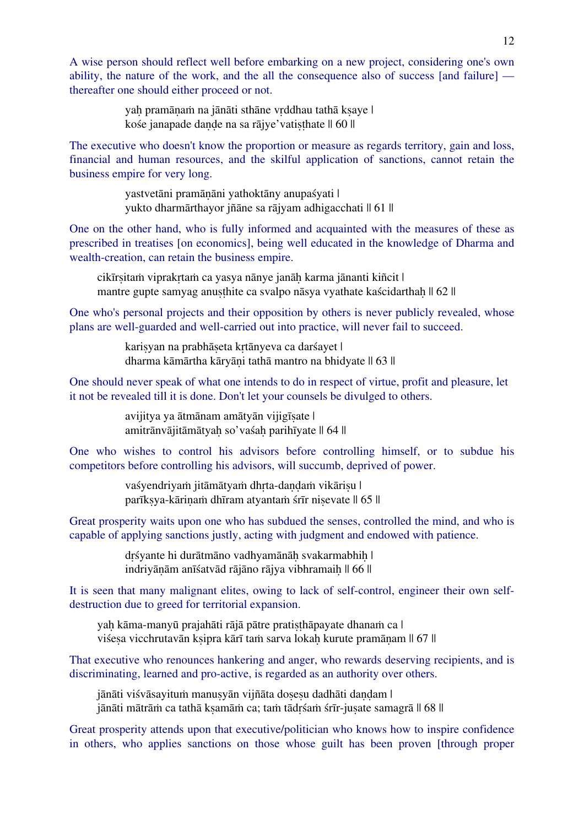A wise person should reflect well before embarking on a new project, considering one's own ability, the nature of the work, and the all the consequence also of success [and failure] thereafter one should either proceed or not.

> yaḥ pramāṇaṁ na jānāti sthāne vṛddhau tathā kṣaye | kośe janapade dande na sa rājye'vatisthate || 60 ||

The executive who doesn't know the proportion or measure as regards territory, gain and loss, financial and human resources, and the skilful application of sanctions, cannot retain the business empire for very long.

> yastvetāni pramāṇāni yathoktāny anupaśyati | yukto dharmārthayor jñāne sa rājyam adhigacchati || 61 ||

One on the other hand, who is fully informed and acquainted with the measures of these as prescribed in treatises [on economics], being well educated in the knowledge of Dharma and wealth-creation, can retain the business empire.

cikīrṣitaṁ viprakṛtaṁ ca yasya nānye janāḥ karma jānanti kiñcit | mantre gupte samyag anusthite ca svalpo nāsya vyathate kaścidarthah || 62 ||

One who's personal projects and their opposition by others is never publicly revealed, whose plans are well-guarded and well-carried out into practice, will never fail to succeed.

> kariṣyan na prabhāṣeta kṛtānyeva ca darśayet | dharma kāmārtha kāryāṇi tathā mantro na bhidyate || 63 ||

One should never speak of what one intends to do in respect of virtue, profit and pleasure, let it not be revealed till it is done. Don't let your counsels be divulged to others.

> avijitya ya ātmānam amātyān vijigīṣate | amitrānvājitāmātyah so'vaśah parihīyate || 64 ||

One who wishes to control his advisors before controlling himself, or to subdue his competitors before controlling his advisors, will succumb, deprived of power.

> vaśyendriyam jitāmātyam dhrta-dandam vikārisu | parīksya-kārinam dhīram atyantam śrīr nisevate || 65 ||

Great prosperity waits upon one who has subdued the senses, controlled the mind, and who is capable of applying sanctions justly, acting with judgment and endowed with patience.

> drśyante hi durātmāno vadhyamānāh svakarmabhih | indriyāṇām anīśatvād rājāno rājya vibhramaih || 66 ||

It is seen that many malignant elites, owing to lack of self-control, engineer their own selfdestruction due to greed for territorial expansion.

yah kāma-manyū prajahāti rājā pātre pratisthāpayate dhanam ca | viśeṣa vicchrutavān kṣipra kārī taṁ sarva lokaḥ kurute pramāṇam || 67 ||

That executive who renounces hankering and anger, who rewards deserving recipients, and is discriminating, learned and pro-active, is regarded as an authority over others.

jānāti viśvāsayitum manusyān vijñāta dosesu dadhāti dandam | jānāti mātrām ca tathā ksamām ca; tam tādrśam śrīr-juṣate samagrā || 68 ||

Great prosperity attends upon that executive/politician who knows how to inspire confidence in others, who applies sanctions on those whose guilt has been proven [through proper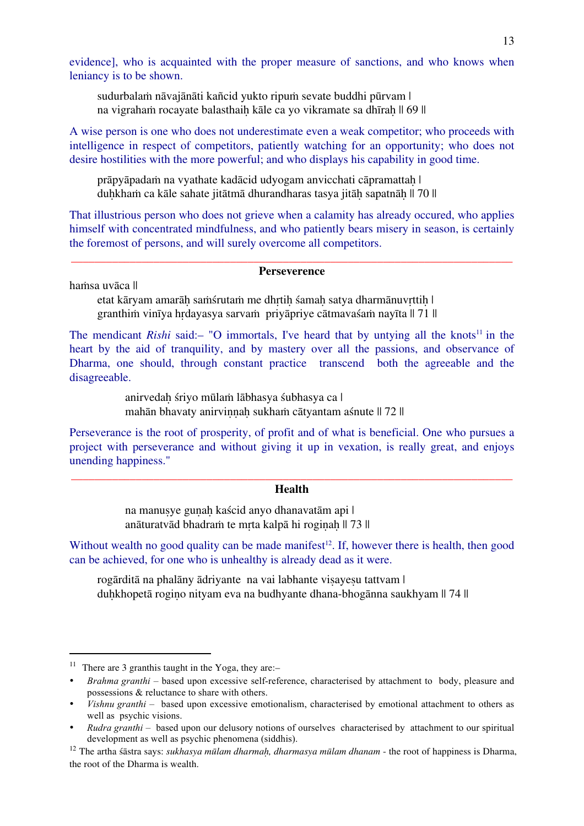evidence], who is acquainted with the proper measure of sanctions, and who knows when leniancy is to be shown.

sudurbalaṁ nāvajānāti kañcid yukto ripuṁ sevate buddhi pūrvam | na vigrahaṁ rocayate balasthaiḥ kāle ca yo vikramate sa dhīraḥ || 69 ||

A wise person is one who does not underestimate even a weak competitor; who proceeds with intelligence in respect of competitors, patiently watching for an opportunity; who does not desire hostilities with the more powerful; and who displays his capability in good time.

prāpyāpadaṁ na vyathate kadācid udyogam anvicchati cāpramattaḥ | duḥkhaṁ ca kāle sahate jitātmā dhurandharas tasya jitāḥ sapatnāḥ || 70 ||

That illustrious person who does not grieve when a calamity has already occured, who applies himself with concentrated mindfulness, and who patiently bears misery in season, is certainly the foremost of persons, and will surely overcome all competitors.

#### \_\_\_\_\_\_\_\_\_\_\_\_\_\_\_\_\_\_\_\_\_\_\_\_\_\_\_\_\_\_\_\_\_\_\_\_\_\_\_\_\_\_\_\_\_\_\_\_\_\_\_\_\_\_\_\_\_\_\_\_\_\_\_\_\_\_\_\_\_\_\_\_\_\_\_ **Perseverence**

haṁsa uvāca ||

etat kāryam amarāh saṁśrutaṁ me dhrtih śamah satya dharmānuvrttih | granthiṁ vinīya hṛdayasya sarvaṁ priyāpriye cātmavaśaṁ nayīta || 71 ||

The mendicant *Rishi* said:– "O immortals, I've heard that by untying all the knots<sup>11</sup> in the heart by the aid of tranquility, and by mastery over all the passions, and observance of Dharma, one should, through constant practice transcend both the agreeable and the disagreeable.

> anirvedaḥ śriyo mūlaṁ lābhasya śubhasya ca | mahān bhavaty anirvinnah sukham cātyantam aśnute || 72 ||

Perseverance is the root of prosperity, of profit and of what is beneficial. One who pursues a project with perseverance and without giving it up in vexation, is really great, and enjoys unending happiness."

#### \_\_\_\_\_\_\_\_\_\_\_\_\_\_\_\_\_\_\_\_\_\_\_\_\_\_\_\_\_\_\_\_\_\_\_\_\_\_\_\_\_\_\_\_\_\_\_\_\_\_\_\_\_\_\_\_\_\_\_\_\_\_\_\_\_\_\_\_\_\_\_\_\_\_\_ **Health**

na manusye gunah kaścid anyo dhanavatām api | anāturatvād bhadraṁ te mṛta kalpā hi rogiṇaḥ || 73 ||

Without wealth no good quality can be made manifest<sup>12</sup>. If, however there is health, then good can be achieved, for one who is unhealthy is already dead as it were.

rogārditā na phalāny ādriyante na vai labhante visayesu tattvam | duhkhopetā rogino nityam eva na budhyante dhana-bhogānna saukhyam || 74 ||

<sup>&</sup>lt;sup>11</sup> There are 3 granthis taught in the Yoga, they are:-

<sup>•</sup> *Brahma granthi* – based upon excessive self-reference, characterised by attachment to body, pleasure and possessions & reluctance to share with others.

<sup>•</sup> *Vishnu granthi* – based upon excessive emotionalism, characterised by emotional attachment to others as well as psychic visions.

<sup>•</sup> *Rudra granthi* – based upon our delusory notions of ourselves characterised by attachment to our spiritual development as well as psychic phenomena (siddhis).

<sup>12</sup> The artha śāstra says: *sukhasya mūlam dharmaḥ, dharmasya mūlam dhanam* - the root of happiness is Dharma, the root of the Dharma is wealth.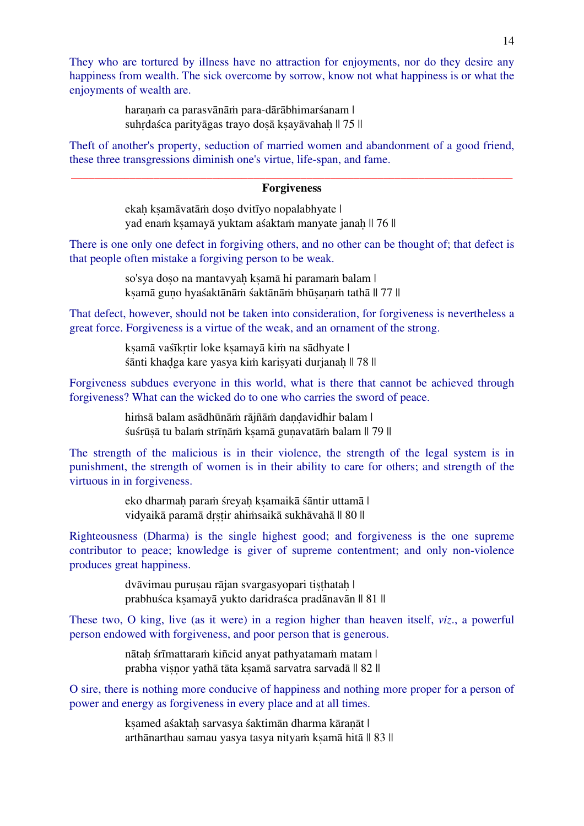They who are tortured by illness have no attraction for enjoyments, nor do they desire any happiness from wealth. The sick overcome by sorrow, know not what happiness is or what the enjoyments of wealth are.

> haranam ca parasvānām para-dārābhimarśanam | suhrdaśca parityāgas trayo dosā ksayāvahah || 75 ||

Theft of another's property, seduction of married women and abandonment of a good friend, these three transgressions diminish one's virtue, life-span, and fame.

#### \_\_\_\_\_\_\_\_\_\_\_\_\_\_\_\_\_\_\_\_\_\_\_\_\_\_\_\_\_\_\_\_\_\_\_\_\_\_\_\_\_\_\_\_\_\_\_\_\_\_\_\_\_\_\_\_\_\_\_\_\_\_\_\_\_\_\_\_\_\_\_\_\_\_\_ **Forgiveness**

ekah ksamāvatām doso dvitīyo nopalabhyate | yad enam ksamayā yuktam aśaktam manyate janah || 76 ||

There is one only one defect in forgiving others, and no other can be thought of; that defect is that people often mistake a forgiving person to be weak.

> so'sya doṣo na mantavyaḥ kṣamā hi paramam balam | ksamā guno hyaśaktānāṁ śaktānāṁ bhūsanaṁ tathā || 77 ||

That defect, however, should not be taken into consideration, for forgiveness is nevertheless a great force. Forgiveness is a virtue of the weak, and an ornament of the strong.

> ksamā vaśīkrtir loke ksamayā kim na sādhyate | śānti khaḍga kare yasya kiṁ kariṣyati durjanaḥ || 78 ||

Forgiveness subdues everyone in this world, what is there that cannot be achieved through forgiveness? What can the wicked do to one who carries the sword of peace.

> himsā balam asādhūnām rājñām dandavidhir balam | śuśrūṣā tu balaṁ strīṇāṁ kṣamā guṇavatāṁ balam || 79 ||

The strength of the malicious is in their violence, the strength of the legal system is in punishment, the strength of women is in their ability to care for others; and strength of the virtuous in in forgiveness.

> eko dharmaḥ paraṁ śreyaḥ kṣamaikā śāntir uttamā | vidyaikā paramā drstir ahimsaikā sukhāvahā || 80 ||

Righteousness (Dharma) is the single highest good; and forgiveness is the one supreme contributor to peace; knowledge is giver of supreme contentment; and only non-violence produces great happiness.

> dvāvimau purusau rājan svargasyopari tisthatah | prabhuśca kṣamayā yukto daridraśca pradānavān || 81 ||

These two, O king, live (as it were) in a region higher than heaven itself, *viz*., a powerful person endowed with forgiveness, and poor person that is generous.

> nātah śrīmattaraṁ kiñcid anyat pathyatamaṁ matam | prabha viṣṇor yathā tāta kṣamā sarvatra sarvadā || 82 ||

O sire, there is nothing more conducive of happiness and nothing more proper for a person of power and energy as forgiveness in every place and at all times.

> ksamed aśaktah sarvasya śaktimān dharma kāranāt | arthānarthau samau yasya tasya nityam ksamā hitā || 83 ||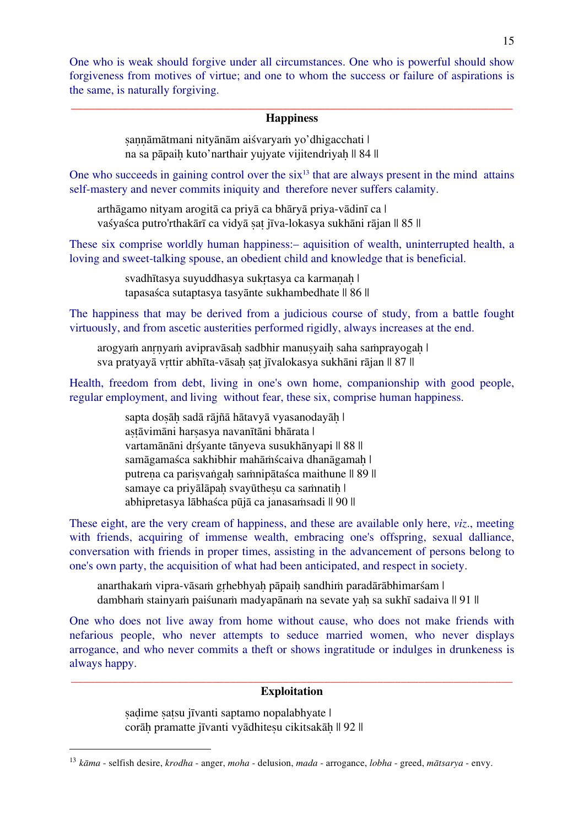One who is weak should forgive under all circumstances. One who is powerful should show forgiveness from motives of virtue; and one to whom the success or failure of aspirations is the same, is naturally forgiving.

#### \_\_\_\_\_\_\_\_\_\_\_\_\_\_\_\_\_\_\_\_\_\_\_\_\_\_\_\_\_\_\_\_\_\_\_\_\_\_\_\_\_\_\_\_\_\_\_\_\_\_\_\_\_\_\_\_\_\_\_\_\_\_\_\_\_\_\_\_\_\_\_\_\_\_\_ **Happiness**

sannāmātmani nityānām aiśvaryam yo'dhigacchati | na sa pāpaih kuto'narthair yujyate vijitendriyah || 84 ||

One who succeeds in gaining control over the  $six<sup>13</sup>$  that are always present in the mind attains self-mastery and never commits iniquity and therefore never suffers calamity.

arthāgamo nityam arogitā ca priyā ca bhāryā priya-vādinī ca | vaśyaśca putro'rthakārī ca vidyā sat jīva-lokasya sukhāni rājan || 85 ||

These six comprise worldly human happiness:– aquisition of wealth, uninterrupted health, a loving and sweet-talking spouse, an obedient child and knowledge that is beneficial.

> svadhītasya suyuddhasya sukrtasya ca karmanah | tapasaśca sutaptasya tasyānte sukhambedhate || 86 ||

The happiness that may be derived from a judicious course of study, from a battle fought virtuously, and from ascetic austerities performed rigidly, always increases at the end.

arogyam anrnyam avipravāsah sadbhir manusyaih saha samprayogah | sva pratyayā vrttir abhīta-vāsah sat jīvalokasya sukhāni rājan || 87 ||

Health, freedom from debt, living in one's own home, companionship with good people, regular employment, and living without fear, these six, comprise human happiness.

> sapta dosāh sadā rājñā hātavyā vyasanodayāh | astāvimāni harsasya navanītāni bhārata | vartamānāni drśyante tānyeva susukhānyapi || 88 || samāgamaśca sakhibhir mahāṁścaiva dhanāgamaḥ | putrena ca parisvaṅgah saṁnipātaśca maithune || 89 || samaye ca priyālāpah svayūthesu ca saṁnatih | abhipretasya lābhaśca pūjā ca janasaṁsadi || 90 ||

These eight, are the very cream of happiness, and these are available only here, *viz*., meeting with friends, acquiring of immense wealth, embracing one's offspring, sexual dalliance, conversation with friends in proper times, assisting in the advancement of persons belong to one's own party, the acquisition of what had been anticipated, and respect in society.

anarthakaṁ vipra-vāsaṁ gṛhebhyaḥ pāpaiḥ sandhiṁ paradārābhimarśam | dambham stainyam paiśunam madyapānam na sevate yah sa sukhī sadaiva || 91 ||

One who does not live away from home without cause, who does not make friends with nefarious people, who never attempts to seduce married women, who never displays arrogance, and who never commits a theft or shows ingratitude or indulges in drunkeness is always happy.

#### \_\_\_\_\_\_\_\_\_\_\_\_\_\_\_\_\_\_\_\_\_\_\_\_\_\_\_\_\_\_\_\_\_\_\_\_\_\_\_\_\_\_\_\_\_\_\_\_\_\_\_\_\_\_\_\_\_\_\_\_\_\_\_\_\_\_\_\_\_\_\_\_\_\_\_ **Exploitation**

sadime satsu jīvanti saptamo nopalabhyate | corāh pramatte jīvanti vyādhitesu cikitsakāh || 92 ||

 <sup>13</sup> *<sup>k</sup>āma* - selfish desire, *krodha* - anger, *moha* - delusion, *mada* - arrogance, *lobha* - greed, *mātsarya* - envy.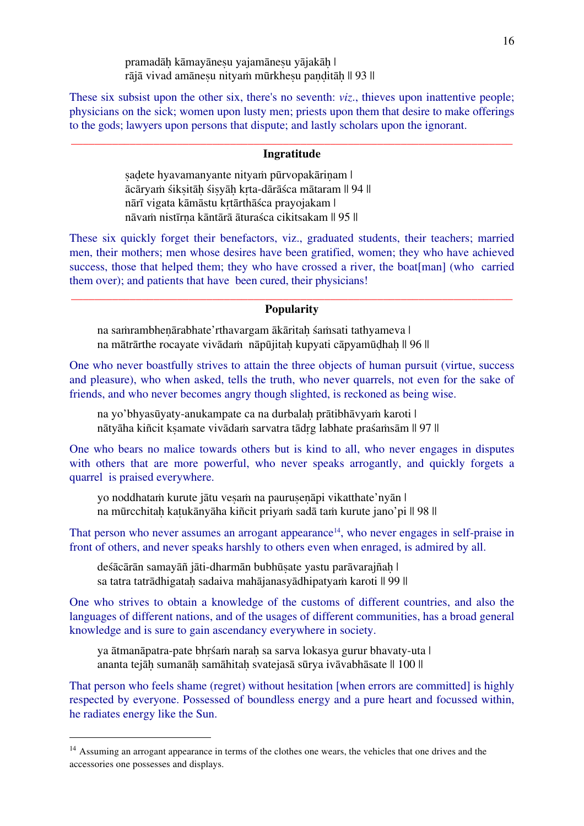pramadāḥ kāmayāneṣu yajamāneṣu yājakāḥ | rājā vivad amāneṣu nityaṁ mūrkheṣu paṇḍitāḥ || 93 ||

These six subsist upon the other six, there's no seventh: *viz*., thieves upon inattentive people; physicians on the sick; women upon lusty men; priests upon them that desire to make offerings to the gods; lawyers upon persons that dispute; and lastly scholars upon the ignorant.

#### \_\_\_\_\_\_\_\_\_\_\_\_\_\_\_\_\_\_\_\_\_\_\_\_\_\_\_\_\_\_\_\_\_\_\_\_\_\_\_\_\_\_\_\_\_\_\_\_\_\_\_\_\_\_\_\_\_\_\_\_\_\_\_\_\_\_\_\_\_\_\_\_\_\_\_ **Ingratitude**

sadete hyavamanyante nityam pūrvopakārinam | ācāryaṁ śikṣitāḥ śiṣyāḥ kṛta-dārāśca mātaram || 94 || nārī vigata kāmāstu kṛtārthāśca prayojakam | nāvaṁ nistīrṇa kāntārā āturaśca cikitsakam || 95 ||

These six quickly forget their benefactors, viz., graduated students, their teachers; married men, their mothers; men whose desires have been gratified, women; they who have achieved success, those that helped them; they who have crossed a river, the boat[man] (who carried them over); and patients that have been cured, their physicians!

#### \_\_\_\_\_\_\_\_\_\_\_\_\_\_\_\_\_\_\_\_\_\_\_\_\_\_\_\_\_\_\_\_\_\_\_\_\_\_\_\_\_\_\_\_\_\_\_\_\_\_\_\_\_\_\_\_\_\_\_\_\_\_\_\_\_\_\_\_\_\_\_\_\_\_\_ **Popularity**

na saṁrambhenārabhate'rthavargam ākāritah śaṁsati tathyameva | na mātrārthe rocayate vivādam nāpūjitah kupyati cāpyamūdhah || 96 ||

One who never boastfully strives to attain the three objects of human pursuit (virtue, success and pleasure), who when asked, tells the truth, who never quarrels, not even for the sake of friends, and who never becomes angry though slighted, is reckoned as being wise.

na yo'bhyasūyaty-anukampate ca na durbalah prātibhāvyam karoti | nātyāha kiñcit kṣamate vivādaṁ sarvatra tādṛg labhate praśaṁsām || 97 ||

One who bears no malice towards others but is kind to all, who never engages in disputes with others that are more powerful, who never speaks arrogantly, and quickly forgets a quarrel is praised everywhere.

yo noddhatam kurute jātu vesam na paurusenāpi vikatthate'nyān | na mūrcchitah katukānyāha kiñcit priyam sadā tam kurute jano'pi || 98 ||

That person who never assumes an arrogant appearance<sup>14</sup>, who never engages in self-praise in front of others, and never speaks harshly to others even when enraged, is admired by all.

deśācārān samayāñ jāti-dharmān bubhūṣate yastu parāvarajñaḥ | sa tatra tatrādhigataḥ sadaiva mahājanasyādhipatyaṁ karoti || 99 ||

One who strives to obtain a knowledge of the customs of different countries, and also the languages of different nations, and of the usages of different communities, has a broad general knowledge and is sure to gain ascendancy everywhere in society.

ya ātmanāpatra-pate bhrśam narah sa sarva lokasya gurur bhavaty-uta | ananta tejāḥ sumanāḥ samāhitaḥ svatejasā sūrya ivāvabhāsate || 100 ||

That person who feels shame (regret) without hesitation [when errors are committed] is highly respected by everyone. Possessed of boundless energy and a pure heart and focussed within, he radiates energy like the Sun.

<sup>&</sup>lt;sup>14</sup> Assuming an arrogant appearance in terms of the clothes one wears, the vehicles that one drives and the accessories one possesses and displays.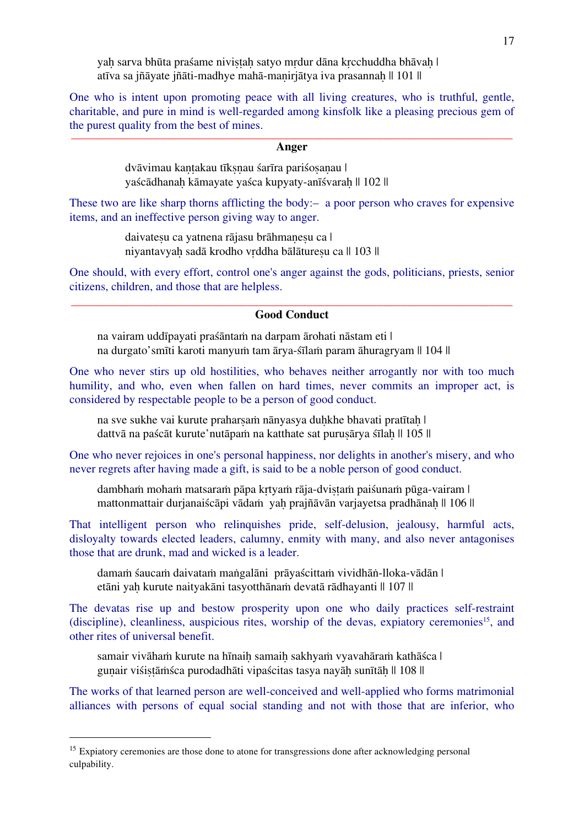yah sarva bhūta praśame nivistah satyo mrdur dāna krechuddha bhāvah | atīva sa jñāyate jñāti-madhye mahā-maṇirjātya iva prasannaḥ || 101 ||

One who is intent upon promoting peace with all living creatures, who is truthful, gentle, charitable, and pure in mind is well-regarded among kinsfolk like a pleasing precious gem of the purest quality from the best of mines. \_\_\_\_\_\_\_\_\_\_\_\_\_\_\_\_\_\_\_\_\_\_\_\_\_\_\_\_\_\_\_\_\_\_\_\_\_\_\_\_\_\_\_\_\_\_\_\_\_\_\_\_\_\_\_\_\_\_\_\_\_\_\_\_\_\_\_\_\_\_\_\_\_\_\_

#### **Anger**

dvāvimau kantakau tīksnau śarīra pariśosanau | yaścādhanah kāmayate yaśca kupyaty-anīśvarah || 102 ||

These two are like sharp thorns afflicting the body:— a poor person who craves for expensive items, and an ineffective person giving way to anger.

> daivatesu ca yatnena rājasu brāhmanesu ca | niyantavyah sadā krodho vrddha bālāturesu ca || 103 ||

One should, with every effort, control one's anger against the gods, politicians, priests, senior citizens, children, and those that are helpless.

#### \_\_\_\_\_\_\_\_\_\_\_\_\_\_\_\_\_\_\_\_\_\_\_\_\_\_\_\_\_\_\_\_\_\_\_\_\_\_\_\_\_\_\_\_\_\_\_\_\_\_\_\_\_\_\_\_\_\_\_\_\_\_\_\_\_\_\_\_\_\_\_\_\_\_\_ **Good Conduct**

na vairam uddīpayati praśāntaṁ na darpam ārohati nāstam eti | na durgato'smīti karoti manyuṁ tam ārya-śīlaṁ param āhuragryam || 104 ||

One who never stirs up old hostilities, who behaves neither arrogantly nor with too much humility, and who, even when fallen on hard times, never commits an improper act, is considered by respectable people to be a person of good conduct.

na sve sukhe vai kurute praharsam nānyasya duḥkhe bhavati pratītaḥ | dattvā na paścāt kurute'nutāpaṁ na katthate sat puruṣārya śīlaḥ || 105 ||

One who never rejoices in one's personal happiness, nor delights in another's misery, and who never regrets after having made a gift, is said to be a noble person of good conduct.

dambhaṁ mohaṁ matsaraṁ pāpa kṛtyaṁ rāja-dviṣṭaṁ paiśunaṁ pūga-vairam | mattonmattair durianaiścāpi vādaṁ vah prajñāvān variavetsa pradhānah || 106 ||

That intelligent person who relinquishes pride, self-delusion, jealousy, harmful acts, disloyalty towards elected leaders, calumny, enmity with many, and also never antagonises those that are drunk, mad and wicked is a leader.

damaṁ śaucaṁ daivataṁ maṅgalāni prāyaścittaṁ vividhāṅ-lloka-vādān | etāni yah kurute naityakāni tasyotthānam devatā rādhayanti || 107 ||

The devatas rise up and bestow prosperity upon one who daily practices self-restraint (discipline), cleanliness, auspicious rites, worship of the devas, expiatory ceremonies<sup>15</sup>, and other rites of universal benefit.

samair vivāham kurute na hīnaiḥ samaih sakhyam vyavahāram kathāśca | gunair viśistāmśca purodadhāti vipaścitas tasya nayāh sunītāh || 108 ||

The works of that learned person are well-conceived and well-applied who forms matrimonial alliances with persons of equal social standing and not with those that are inferior, who

<sup>&</sup>lt;sup>15</sup> Expiatory ceremonies are those done to atone for transgressions done after acknowledging personal culpability.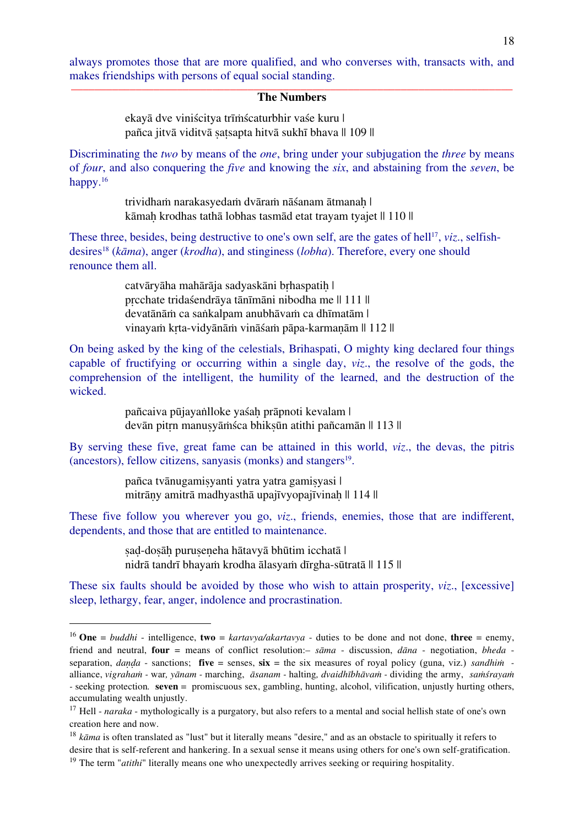always promotes those that are more qualified, and who converses with, transacts with, and makes friendships with persons of equal social standing. \_\_\_\_\_\_\_\_\_\_\_\_\_\_\_\_\_\_\_\_\_\_\_\_\_\_\_\_\_\_\_\_\_\_\_\_\_\_\_\_\_\_\_\_\_\_\_\_\_\_\_\_\_\_\_\_\_\_\_\_\_\_\_\_\_\_\_\_\_\_\_\_\_\_\_

#### **The Numbers**

ekayā dve viniścitya trīṁścaturbhir vaśe kuru | pañca jitvā viditvā satsapta hitvā sukhī bhava || 109 ||

Discriminating the *two* by means of the *one*, bring under your subjugation the *three* by means of *four*, and also conquering the *five* and knowing the *six*, and abstaining from the *seven*, be happy.16

> trividhaṁ narakasyedaṁ dvāraṁ nāśanam ātmanah | kāmah krodhas tathā lobhas tasmād etat trayam tyajet || 110 ||

These three, besides, being destructive to one's own self, are the gates of hell<sup>17</sup>, *viz.*, selfishdesires18 (*kāma*), anger (*krodha*), and stinginess (*lobha*). Therefore, every one should renounce them all.

> catvāryāha mahārāja sadyaskāni brhaspatih | pṛcchate tridaśendrāya tānīmāni nibodha me || 111 || devatānāṁ ca saṅkalpam anubhāvaṁ ca dhīmatām | vinayaṁ kṛta-vidyānāṁ vināśaṁ pāpa-karmaṇām || 112 ||

On being asked by the king of the celestials, Brihaspati, O mighty king declared four things capable of fructifying or occurring within a single day, *viz*., the resolve of the gods, the comprehension of the intelligent, the humility of the learned, and the destruction of the wicked.

> pañcaiva pūjayaṅlloke yaśaḥ prāpnoti kevalam | devān pitrn manusvāmsca bhiksūn atithi pañcamān || 113 ||

By serving these five, great fame can be attained in this world, *viz*., the devas, the pitris (ancestors), fellow citizens, sanyasis (monks) and stangers $19$ .

> pañca tvānugamiṣyanti yatra yatra gamiṣyasi | mitrāny amitrā madhyasthā upajīvyopajīvinah || 114 ||

These five follow you wherever you go, *viz*., friends, enemies, those that are indifferent, dependents, and those that are entitled to maintenance.

> ṣaḍ-doṣāḥ puruṣeṇeha hātavyā bhūtim icchatā | nidrā tandrī bhayaṁ krodha ālasyaṁ dīrgha-sūtratā || 115 ||

These six faults should be avoided by those who wish to attain prosperity, *viz*., [excessive] sleep, lethargy, fear, anger, indolence and procrastination.

<sup>&</sup>lt;sup>16</sup> **One** = *buddhi* - intelligence, **two** = *kartavya/akartavya* - duties to be done and not done, **three** = enemy, friend and neutral, **four** = means of conflict resolution:– *sāma* - discussion, *dāna* - negotiation, *bheda* separation, *danda* - sanctions; **five** = senses,  $\dot{s}$ **ix** = the six measures of royal policy (guna, viz.) *sandhiin* alliance, vigraham - war, yānam - marching, āsanam - halting, dvaidhībhāvam - dividing the army, samśrayam *-* seeking protection*.* **seven** = promiscuous sex, gambling, hunting, alcohol, vilification, unjustly hurting others, accumulating wealth unjustly.

<sup>&</sup>lt;sup>17</sup> Hell - *naraka* - mythologically is a purgatory, but also refers to a mental and social hellish state of one's own creation here and now.

<sup>&</sup>lt;sup>18</sup> *kāma* is often translated as "lust" but it literally means "desire," and as an obstacle to spiritually it refers to desire that is self-referent and hankering. In a sexual sense it means using others for one's own self-gratification.

<sup>&</sup>lt;sup>19</sup> The term "*atithi*" literally means one who unexpectedly arrives seeking or requiring hospitality.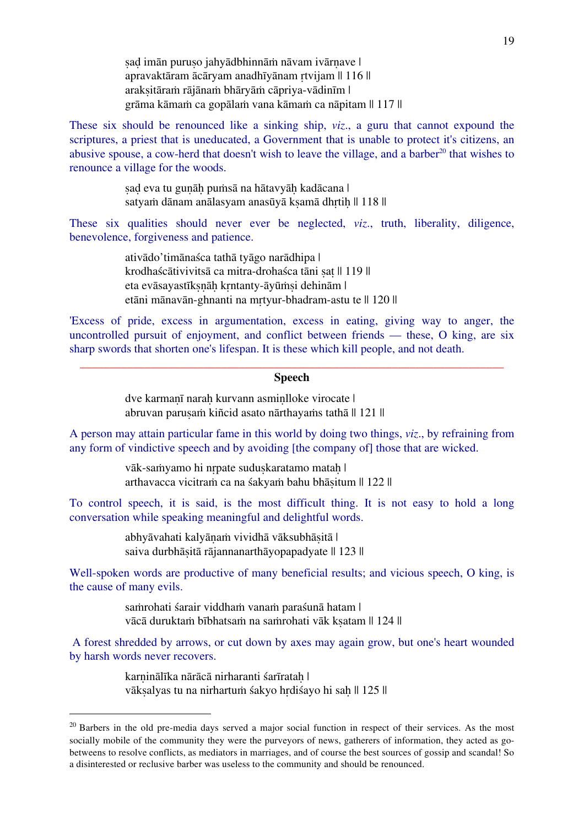sad imān puruso jahyādbhinnām nāvam ivārnave | apravaktāram ācāryam anadhīyānam rtvijam || 116 || arakṣitāraṁ rājānaṁ bhāryāṁ cāpriya-vādinīm | grāma kāmaṁ ca gopālaṁ vana kāmaṁ ca nāpitam || 117 ||

These six should be renounced like a sinking ship, *viz*., a guru that cannot expound the scriptures, a priest that is uneducated, a Government that is unable to protect it's citizens, an abusive spouse, a cow-herd that doesn't wish to leave the village, and a barber<sup>20</sup> that wishes to renounce a village for the woods.

> sad eva tu gunāh puṁsā na hātavyāh kadācana | satyam dānam anālasyam anasūyā kṣamā dhrtih || 118 ||

These six qualities should never ever be neglected, *viz*., truth, liberality, diligence, benevolence, forgiveness and patience.

> ativādo'timānaśca tathā tyāgo narādhipa | krodhaścātivivitsā ca mitra-drohaśca tāni sat || 119 || eta evāsayastīkṣṇāḥ kṛntanty-āyūṁṣi dehinām | etāni mānavān-ghnanti na mṛtyur-bhadram-astu te || 120 ||

'Excess of pride, excess in argumentation, excess in eating, giving way to anger, the uncontrolled pursuit of enjoyment, and conflict between friends — these, O king, are six sharp swords that shorten one's lifespan. It is these which kill people, and not death.

#### \_\_\_\_\_\_\_\_\_\_\_\_\_\_\_\_\_\_\_\_\_\_\_\_\_\_\_\_\_\_\_\_\_\_\_\_\_\_\_\_\_\_\_\_\_\_\_\_\_\_\_\_\_\_\_\_\_\_\_\_\_\_\_\_\_\_\_\_\_\_\_\_ **Speech**

dve karmaṇī naraḥ kurvann asmiṇlloke virocate | abruvan paruṣaṁ kiñcid asato nārthayaṁs tathā || 121 ||

A person may attain particular fame in this world by doing two things, *viz*., by refraining from any form of vindictive speech and by avoiding [the company of] those that are wicked.

> vāk-saṁyamo hi nrpate suduskaratamo matah | arthavacca vicitraṁ ca na śakyaṁ bahu bhāṣitum || 122 ||

To control speech, it is said, is the most difficult thing. It is not easy to hold a long conversation while speaking meaningful and delightful words.

> abhyāvahati kalyāṇaṁ vividhā vāksubhāṣitā | saiva durbhāṣitā rājannanarthāyopapadyate || 123 ||

Well-spoken words are productive of many beneficial results; and vicious speech, O king, is the cause of many evils.

> saṁrohati śarair viddhaṁ vanaṁ paraśunā hatam | vācā duruktam bībhatsam na samrohati vāk ksatam || 124 ||

A forest shredded by arrows, or cut down by axes may again grow, but one's heart wounded by harsh words never recovers.

> karninālīka nārācā nirharanti śarīratah | vāksalyas tu na nirhartum śakyo hrdiśayo hi sah || 125 ||

<sup>&</sup>lt;sup>20</sup> Barbers in the old pre-media days served a major social function in respect of their services. As the most socially mobile of the community they were the purveyors of news, gatherers of information, they acted as gobetweens to resolve conflicts, as mediators in marriages, and of course the best sources of gossip and scandal! So a disinterested or reclusive barber was useless to the community and should be renounced.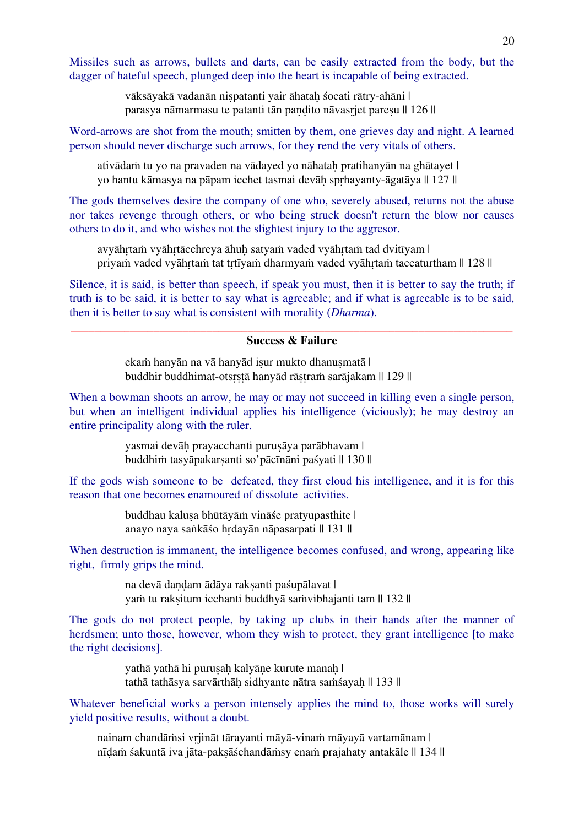Missiles such as arrows, bullets and darts, can be easily extracted from the body, but the dagger of hateful speech, plunged deep into the heart is incapable of being extracted.

> vāksāyakā vadanān niṣpatanti yair āhataḥ śocati rātry-ahāni | parasya nāmarmasu te patanti tān paṇḍito nāvasṛjet pareṣu || 126 ||

Word-arrows are shot from the mouth; smitten by them, one grieves day and night. A learned person should never discharge such arrows, for they rend the very vitals of others.

ativādam tu yo na pravaden na vādayed yo nāhatah pratihanyān na ghātayet | yo hantu kāmasya na pāpam icchet tasmai devāḥ spṛhayanty-āgatāya || 127 ||

The gods themselves desire the company of one who, severely abused, returns not the abuse nor takes revenge through others, or who being struck doesn't return the blow nor causes others to do it, and who wishes not the slightest injury to the aggresor.

avyāhṛtaṁ vyāhṛtācchreya āhuḥ satyaṁ vaded vyāhṛtaṁ tad dvitīyam | priyam vaded vyāhrtam tat trtīvam dharmyam vaded vyāhrtam taccaturtham || 128 ||

Silence, it is said, is better than speech, if speak you must, then it is better to say the truth; if truth is to be said, it is better to say what is agreeable; and if what is agreeable is to be said, then it is better to say what is consistent with morality (*Dharma*).

#### \_\_\_\_\_\_\_\_\_\_\_\_\_\_\_\_\_\_\_\_\_\_\_\_\_\_\_\_\_\_\_\_\_\_\_\_\_\_\_\_\_\_\_\_\_\_\_\_\_\_\_\_\_\_\_\_\_\_\_\_\_\_\_\_\_\_\_\_\_\_\_\_\_\_\_ **Success & Failure**

ekam hanyān na vā hanyād isur mukto dhanusmatā | buddhir buddhimat-otsṛṣṭā hanyād rāṣṭraṁ sarājakam || 129 ||

When a bowman shoots an arrow, he may or may not succeed in killing even a single person, but when an intelligent individual applies his intelligence (viciously); he may destroy an entire principality along with the ruler.

> yasmai devāḥ prayacchanti puruṣāya parābhavam | buddhiṁ tasyāpakarṣanti so'pācīnāni paśyati || 130 ||

If the gods wish someone to be defeated, they first cloud his intelligence, and it is for this reason that one becomes enamoured of dissolute activities.

> buddhau kaluṣa bhūtāyāṁ vināśe pratyupasthite | anayo naya saṅkāśo hṛdayān nāpasarpati || 131 ||

When destruction is immanent, the intelligence becomes confused, and wrong, appearing like right, firmly grips the mind.

> na devā dandam ādāya raksanti paśupālavat | yam tu raksitum icchanti buddhyā saṁvibhajanti tam || 132 ||

The gods do not protect people, by taking up clubs in their hands after the manner of herdsmen; unto those, however, whom they wish to protect, they grant intelligence [to make the right decisions].

> yathā yathā hi puruṣaḥ kalyāṇe kurute manaḥ | tathā tathāsya sarvārthāh sidhyante nātra saṁsayah || 133 ||

Whatever beneficial works a person intensely applies the mind to, those works will surely yield positive results, without a doubt.

nainam chandāṁsi vṛjināt tārayanti māyā-vinaṁ māyayā vartamānam | nīḍaṁ śakuntā iva jāta-pakṣāśchandāṁsy enaṁ prajahaty antakāle || 134 ||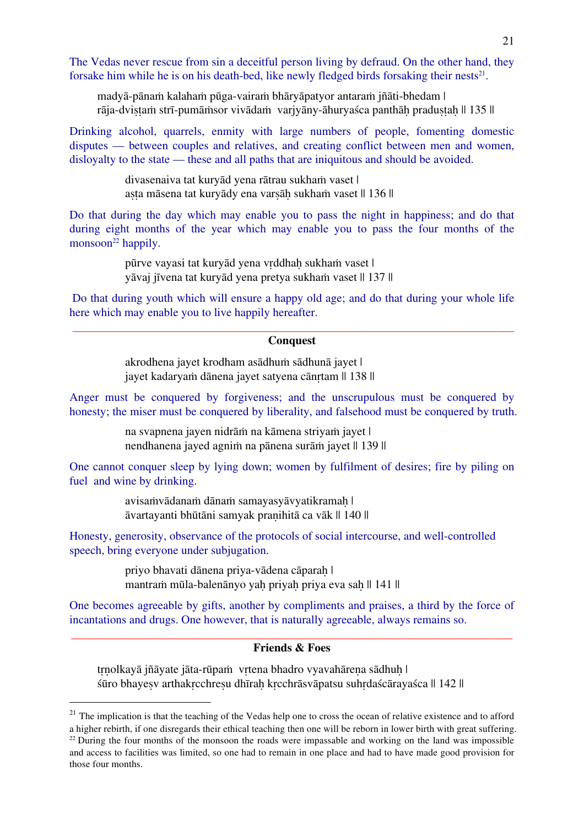The Vedas never rescue from sin a deceitful person living by defraud. On the other hand, they forsake him while he is on his death-bed, like newly fledged birds forsaking their nests<sup>21</sup>.

madyā-pānaṁ kalahaṁ pūga-vairaṁ bhāryāpatyor antaraṁ jñāti-bhedam | rāja-dvistam strī-pumāmsor vivādam varjyāny-āhuryaśca panthāḥ praduṣṭaḥ || 135 ||

Drinking alcohol, quarrels, enmity with large numbers of people, fomenting domestic disputes — between couples and relatives, and creating conflict between men and women, disloyalty to the state — these and all paths that are iniquitous and should be avoided.

> divasenaiva tat kuryād yena rātrau sukhaṁ vaset | aṣṭa māsena tat kuryādy ena varṣāḥ sukhaṁ vaset || 136 ||

Do that during the day which may enable you to pass the night in happiness; and do that during eight months of the year which may enable you to pass the four months of the monsoon $22$  happily.

> pūrve vayasi tat kuryād yena vrddhah sukham vaset | yāvaj jīvena tat kuryād yena pretya sukhaṁ vaset || 137 ||

Do that during youth which will ensure a happy old age; and do that during your whole life here which may enable you to live happily hereafter.

#### \_\_\_\_\_\_\_\_\_\_\_\_\_\_\_\_\_\_\_\_\_\_\_\_\_\_\_\_\_\_\_\_\_\_\_\_\_\_\_\_\_\_\_\_\_\_\_\_\_\_\_\_\_\_\_\_\_\_\_\_\_\_\_\_\_\_\_\_\_\_\_\_\_\_\_ **Conquest**

akrodhena jayet krodham asādhuṁ sādhunā jayet | jayet kadaryam dānena jayet satyena cānrtam || 138 ||

Anger must be conquered by forgiveness; and the unscrupulous must be conquered by honesty; the miser must be conquered by liberality, and falsehood must be conquered by truth.

> na svapnena jayen nidrāṁ na kāmena striyaṁ jayet | nendhanena jayed agniṁ na pānena surāṁ jayet || 139 ||

One cannot conquer sleep by lying down; women by fulfilment of desires; fire by piling on fuel and wine by drinking.

> avisaṁvādanaṁ dānaṁ samayasyāvyatikramaḥ | āvartayanti bhūtāni samyak praṇihitā ca vāk || 140 ||

Honesty, generosity, observance of the protocols of social intercourse, and well-controlled speech, bring everyone under subjugation.

> priyo bhavati dānena priya-vādena cāparaḥ | mantraṁ mūla-balenānyo yah priyah priya eva sah || 141 ||

One becomes agreeable by gifts, another by compliments and praises, a third by the force of incantations and drugs. One however, that is naturally agreeable, always remains so.

#### \_\_\_\_\_\_\_\_\_\_\_\_\_\_\_\_\_\_\_\_\_\_\_\_\_\_\_\_\_\_\_\_\_\_\_\_\_\_\_\_\_\_\_\_\_\_\_\_\_\_\_\_\_\_\_\_\_\_\_\_\_\_\_\_\_\_\_\_\_\_\_\_\_\_\_ **Friends & Foes**

trnolkayā jñāyate jāta-rūpaṁ vrtena bhadro vyavahārena sādhuh | śūro bhayeṣv arthakṛcchreṣu dhīraḥ kṛcchrāsvāpatsu suhṛdaścārayaśca || 142 ||

 $21$  The implication is that the teaching of the Vedas help one to cross the ocean of relative existence and to afford a higher rebirth, if one disregards their ethical teaching then one will be reborn in lower birth with great suffering.  $^{22}$  During the four months of the monsoon the roads were impassable and working on the land was impossible and access to facilities was limited, so one had to remain in one place and had to have made good provision for those four months.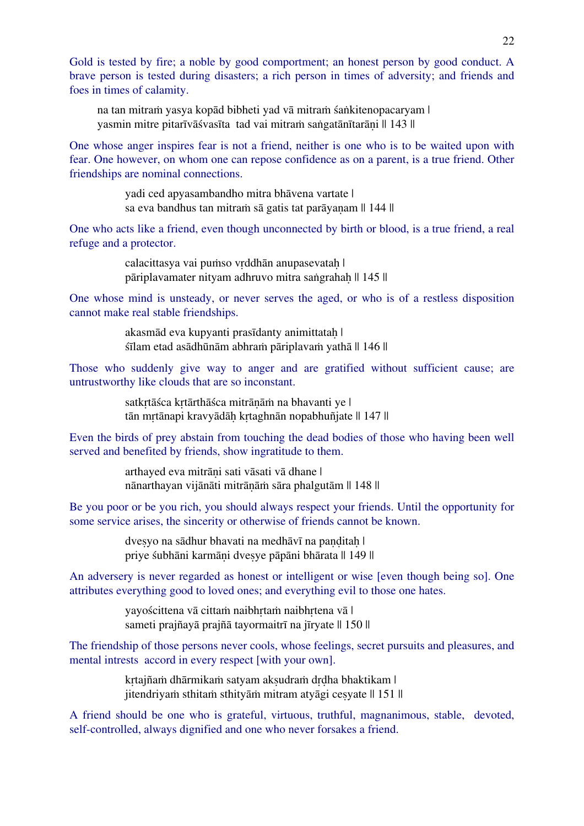Gold is tested by fire; a noble by good comportment; an honest person by good conduct. A brave person is tested during disasters; a rich person in times of adversity; and friends and foes in times of calamity.

na tan mitraṁ yasya kopād bibheti yad vā mitraṁ śaṅkitenopacaryam | yasmin mitre pitarīvāśvasīta tad vai mitraṁ saṅgatānītarāṇi || 143 ||

One whose anger inspires fear is not a friend, neither is one who is to be waited upon with fear. One however, on whom one can repose confidence as on a parent, is a true friend. Other friendships are nominal connections.

> yadi ced apyasambandho mitra bhāvena vartate | sa eva bandhus tan mitram sā gatis tat parāyanam || 144 ||

One who acts like a friend, even though unconnected by birth or blood, is a true friend, a real refuge and a protector.

> calacittasya vai puṁso vrddhān anupasevatah | pāriplavamater nityam adhruvo mitra saṅgrahaḥ || 145 ||

One whose mind is unsteady, or never serves the aged, or who is of a restless disposition cannot make real stable friendships.

> akasmād eva kupyanti prasīdanty animittataḥ | śīlam etad asādhūnām abhraṁ pāriplavaṁ yathā || 146 ||

Those who suddenly give way to anger and are gratified without sufficient cause; are untrustworthy like clouds that are so inconstant.

> satkrtāśca krtārthāśca mitrānām na bhavanti ye | tān mrtānapi kravyādāh krtaghnān nopabhuñjate || 147 ||

Even the birds of prey abstain from touching the dead bodies of those who having been well served and benefited by friends, show ingratitude to them.

> arthayed eva mitrāṇi sati vāsati vā dhane | nānarthayan vijānāti mitrāṇāṁ sāra phalgutām || 148 ||

Be you poor or be you rich, you should always respect your friends. Until the opportunity for some service arises, the sincerity or otherwise of friends cannot be known.

> dvesyo na sādhur bhavati na medhāvī na paṇḍitaḥ | priye śubhāni karmāṇi dveṣye pāpāni bhārata || 149 ||

An adversery is never regarded as honest or intelligent or wise [even though being so]. One attributes everything good to loved ones; and everything evil to those one hates.

> yayościttena vā cittaṁ naibhṛtaṁ naibhṛtena vā | sameti prajñayā prajñā tayormaitrī na jīryate || 150 ||

The friendship of those persons never cools, whose feelings, secret pursuits and pleasures, and mental intrests accord in every respect [with your own].

> krtajñaṁ dhārmikaṁ satyam akṣudraṁ drdha bhaktikam | jitendriyaṁ sthitaṁ sthityāṁ mitram atyāgi ceṣyate || 151 ||

A friend should be one who is grateful, virtuous, truthful, magnanimous, stable, devoted, self-controlled, always dignified and one who never forsakes a friend.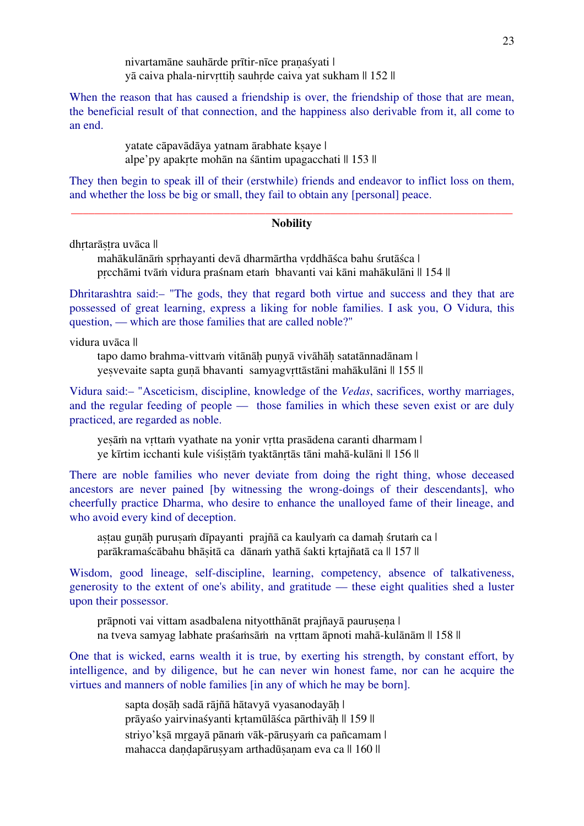nivartamāne sauhārde prītir-nīce praṇaśyati | yā caiva phala-nirvrttih sauhrde caiva yat sukham  $\parallel$  152  $\parallel$ 

When the reason that has caused a friendship is over, the friendship of those that are mean, the beneficial result of that connection, and the happiness also derivable from it, all come to an end.

> yatate cāpavādāya yatnam ārabhate ksaye | alpe'py apakṛte mohān na śāntim upagacchati || 153 ||

They then begin to speak ill of their (erstwhile) friends and endeavor to inflict loss on them, and whether the loss be big or small, they fail to obtain any [personal] peace.

#### \_\_\_\_\_\_\_\_\_\_\_\_\_\_\_\_\_\_\_\_\_\_\_\_\_\_\_\_\_\_\_\_\_\_\_\_\_\_\_\_\_\_\_\_\_\_\_\_\_\_\_\_\_\_\_\_\_\_\_\_\_\_\_\_\_\_\_\_\_\_\_\_\_\_\_ **Nobility**

dhrtarāstra uvāca ||

mahākulānāṁ spṛhayanti devā dharmārtha vṛddhāśca bahu śrutāśca | prcchāmi tvām vidura praśnam etam bhavanti vai kāni mahākulāni || 154 ||

Dhritarashtra said:– "The gods, they that regard both virtue and success and they that are possessed of great learning, express a liking for noble families. I ask you, O Vidura, this question, — which are those families that are called noble?"

vidura uvāca ||

tapo damo brahma-vittvaṁ vitānāḥ puṇyā vivāhāḥ satatānnadānam | yesvevaite sapta gunā bhavanti samyagvrttāstāni mahākulāni || 155 ||

Vidura said:– "Asceticism, discipline, knowledge of the *Vedas*, sacrifices, worthy marriages, and the regular feeding of people — those families in which these seven exist or are duly practiced, are regarded as noble.

yesām na vrttam vyathate na yonir vrtta prasādena caranti dharmam | ye kīrtim icchanti kule viśistām tyaktānrtās tāni mahā-kulāni || 156 ||

There are noble families who never deviate from doing the right thing, whose deceased ancestors are never pained [by witnessing the wrong-doings of their descendants], who cheerfully practice Dharma, who desire to enhance the unalloyed fame of their lineage, and who avoid every kind of deception.

aṣṭau guṇāh puruṣaṁ dīpayanti prajñā ca kaulyaṁ ca damaḥ śrutaṁ ca l parākramaścābahu bhāṣitā ca dānaṁ yathā śakti kṛtajñatā ca || 157 ||

Wisdom, good lineage, self-discipline, learning, competency, absence of talkativeness, generosity to the extent of one's ability, and gratitude — these eight qualities shed a luster upon their possessor.

prāpnoti vai vittam asadbalena nityotthānāt prajñayā paurusena | na tveva samyag labhate praśaṁsāṁ na vṛttam āpnoti mahā-kulānām || 158 ||

One that is wicked, earns wealth it is true, by exerting his strength, by constant effort, by intelligence, and by diligence, but he can never win honest fame, nor can he acquire the virtues and manners of noble families [in any of which he may be born].

> sapta doṣāḥ sadā rājñā hātavyā vyasanodayāḥ | prāyaśo yairvinaśyanti kṛtamūlāśca pārthivāḥ || 159 || striyo'ksā mrgayā pānam vāk-pārusyam ca pañcamam | mahacca dandapārusyam arthadūsanam eva ca || 160 ||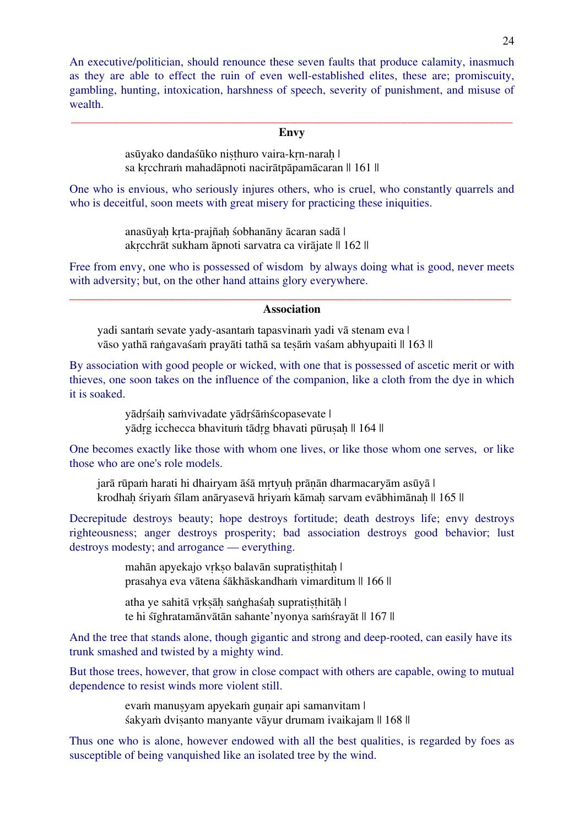An executive/politician, should renounce these seven faults that produce calamity, inasmuch as they are able to effect the ruin of even well-established elites, these are; promiscuity, gambling, hunting, intoxication, harshness of speech, severity of punishment, and misuse of wealth.

#### \_\_\_\_\_\_\_\_\_\_\_\_\_\_\_\_\_\_\_\_\_\_\_\_\_\_\_\_\_\_\_\_\_\_\_\_\_\_\_\_\_\_\_\_\_\_\_\_\_\_\_\_\_\_\_\_\_\_\_\_\_\_\_\_\_\_\_\_\_\_\_\_\_\_\_ **Envy**

asūyako dandaśūko niṣṭhuro vaira-kṛn-naraḥ | sa kṛcchraṁ mahadāpnoti nacirātpāpamācaran || 161 ||

One who is envious, who seriously injures others, who is cruel, who constantly quarrels and who is deceitful, soon meets with great misery for practicing these injquities.

> anasūyaḥ kṛta-prajñaḥ śobhanāny ācaran sadā | akṛcchrāt sukham āpnoti sarvatra ca virājate || 162 ||

Free from envy, one who is possessed of wisdom by always doing what is good, never meets with adversity; but, on the other hand attains glory everywhere.

#### \_\_\_\_\_\_\_\_\_\_\_\_\_\_\_\_\_\_\_\_\_\_\_\_\_\_\_\_\_\_\_\_\_\_\_\_\_\_\_\_\_\_\_\_\_\_\_\_\_\_\_\_\_\_\_\_\_\_\_\_\_\_\_\_\_\_\_\_\_\_\_\_\_\_\_ **Association**

yadi santaṁ sevate yady-asantaṁ tapasvinaṁ yadi vā stenam eva | vāso yathā raṅgavaśaṁ prayāti tathā sa teṣāṁ vaśam abhyupaiti || 163 ||

By association with good people or wicked, with one that is possessed of ascetic merit or with thieves, one soon takes on the influence of the companion, like a cloth from the dye in which it is soaked.

> yādṛśaiḥ saṁvivadate yādṛśāṁścopasevate | yādrg icchecca bhavitum tādrg bhavati pūrusah || 164 ||

One becomes exactly like those with whom one lives, or like those whom one serves, or like those who are one's role models.

jarā rūpam harati hi dhairyam āśā mrtyuh prānān dharmacaryām asūyā | krodhah śriyam śīlam anāryasevā hriyam kāmah sarvam evābhimānah || 165 ||

Decrepitude destroys beauty; hope destroys fortitude; death destroys life; envy destroys righteousness; anger destroys prosperity; bad association destroys good behavior; lust destroys modesty; and arrogance — everything.

> mahān apyekajo vrkso balavān supratisthitah | prasahya eva vātena śākhāskandhaṁ vimarditum || 166 ||

atha ye sahitā vṛkṣāḥ saṅghaśaḥ supratiṣṭhitāḥ | te hi śīghratamānvātān sahante'nyonya saṁśrayāt || 167 ||

And the tree that stands alone, though gigantic and strong and deep-rooted, can easily have its trunk smashed and twisted by a mighty wind.

But those trees, however, that grow in close compact with others are capable, owing to mutual dependence to resist winds more violent still.

> evam manusyam apyekam gunair api samanvitam | śakyaṁ dviṣanto manyante vāyur drumam ivaikajam || 168 ||

Thus one who is alone, however endowed with all the best qualities, is regarded by foes as susceptible of being vanquished like an isolated tree by the wind.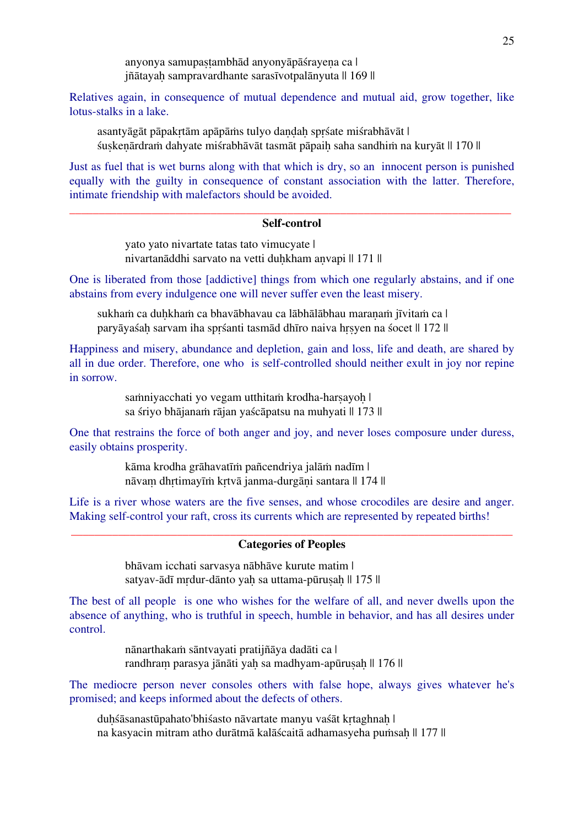anyonya samupaṣṭambhād anyonyāpāśrayeṇa ca | jñātayah sampravardhante sarasīvotpalānyuta || 169 ||

Relatives again, in consequence of mutual dependence and mutual aid, grow together, like lotus-stalks in a lake.

asantyāgāt pāpakṛtām apāpāṁs tulyo daṇḍaḥ spṛśate miśrabhāvāt | śuṣkeṇārdraṁ dahyate miśrabhāvāt tasmāt pāpaiḥ saha sandhiṁ na kuryāt || 170 ||

Just as fuel that is wet burns along with that which is dry, so an innocent person is punished equally with the guilty in consequence of constant association with the latter. Therefore, intimate friendship with malefactors should be avoided.

#### \_\_\_\_\_\_\_\_\_\_\_\_\_\_\_\_\_\_\_\_\_\_\_\_\_\_\_\_\_\_\_\_\_\_\_\_\_\_\_\_\_\_\_\_\_\_\_\_\_\_\_\_\_\_\_\_\_\_\_\_\_\_\_\_\_\_\_\_\_\_\_\_\_\_\_ **Self-control**

yato yato nivartate tatas tato vimucyate | nivartanāddhi sarvato na vetti duhkham anvapi || 171 ||

One is liberated from those [addictive] things from which one regularly abstains, and if one abstains from every indulgence one will never suffer even the least misery.

sukham ca duhkham ca bhavābhavau ca lābhālābhau maranam jīvitam ca | paryāyaśah sarvam iha sprśanti tasmād dhīro naiva hrsyen na śocet || 172 ||

Happiness and misery, abundance and depletion, gain and loss, life and death, are shared by all in due order. Therefore, one who is self-controlled should neither exult in joy nor repine in sorrow.

> samniyacchati yo vegam utthitam krodha-harsayoh | sa śriyo bhājanam rājan yaścāpatsu na muhyati || 173 ||

One that restrains the force of both anger and joy, and never loses composure under duress, easily obtains prosperity.

> kāma krodha grāhavatīṁ pañcendriya jalāṁ nadīm | nāvam dhṛtimayīṁ kṛtvā janma-durgāni santara || 174 ||

Life is a river whose waters are the five senses, and whose crocodiles are desire and anger. Making self-control your raft, cross its currents which are represented by repeated births!

#### \_\_\_\_\_\_\_\_\_\_\_\_\_\_\_\_\_\_\_\_\_\_\_\_\_\_\_\_\_\_\_\_\_\_\_\_\_\_\_\_\_\_\_\_\_\_\_\_\_\_\_\_\_\_\_\_\_\_\_\_\_\_\_\_\_\_\_\_\_\_\_\_\_\_\_ **Categories of Peoples**

bhāvam icchati sarvasya nābhāve kurute matim | satyav-ādī mrdur-dānto yaḥ sa uttama-pūruṣaḥ || 175 ||

The best of all people is one who wishes for the welfare of all, and never dwells upon the absence of anything, who is truthful in speech, humble in behavior, and has all desires under control.

> nānarthakaṁ sāntvayati pratijñāya dadāti ca | randhram parasya jānāti yah sa madhyam-apūrusah || 176 ||

The mediocre person never consoles others with false hope, always gives whatever he's promised; and keeps informed about the defects of others.

duhśāsanastūpahato'bhiśasto nāvartate manyu vaśāt krtaghnah | na kasyacin mitram atho durātmā kalāścaitā adhamasyeha puṁsaḥ || 177 ||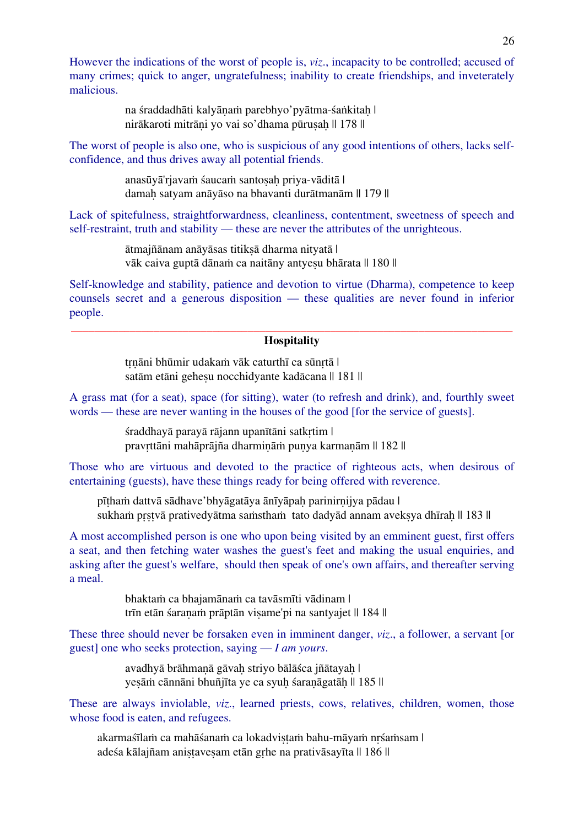However the indications of the worst of people is, *viz*., incapacity to be controlled; accused of many crimes; quick to anger, ungratefulness; inability to create friendships, and inveterately malicious.

> na śraddadhāti kalyānam parebhyo'pyātma-śaṅkitah | nirākaroti mitrāni yo vai so'dhama pūrusah || 178 ||

The worst of people is also one, who is suspicious of any good intentions of others, lacks selfconfidence, and thus drives away all potential friends.

> anasūyā'rjavaṁ śaucaṁ santoṣaḥ priya-vāditā | damah satyam anāyāso na bhavanti durātmanām || 179 ||

Lack of spitefulness, straightforwardness, cleanliness, contentment, sweetness of speech and self-restraint, truth and stability — these are never the attributes of the unrighteous.

> ātmajñānam anāyāsas titikṣā dharma nityatā | vāk caiva guptā dānam ca naitāny antyesu bhārata || 180 ||

Self-knowledge and stability, patience and devotion to virtue (Dharma), competence to keep counsels secret and a generous disposition — these qualities are never found in inferior people.

#### \_\_\_\_\_\_\_\_\_\_\_\_\_\_\_\_\_\_\_\_\_\_\_\_\_\_\_\_\_\_\_\_\_\_\_\_\_\_\_\_\_\_\_\_\_\_\_\_\_\_\_\_\_\_\_\_\_\_\_\_\_\_\_\_\_\_\_\_\_\_\_\_\_\_\_ **Hospitality**

trnāni bhūmir udakam vāk caturthī ca sūnrtā | satām etāni gehesu nocchidyante kadācana || 181 ||

A grass mat (for a seat), space (for sitting), water (to refresh and drink), and, fourthly sweet words — these are never wanting in the houses of the good [for the service of guests].

> śraddhayā parayā rājann upanītāni satkṛtim | pravrttāni mahāprājña dharminām punya karmanām || 182 ||

Those who are virtuous and devoted to the practice of righteous acts, when desirous of entertaining (guests), have these things ready for being offered with reverence.

pīṭhaṁ dattvā sādhave'bhyāgatāya ānīyāpaḥ parinirṇijya pādau | sukhaṁ prstvā prativedyātma saṁsthaṁ tato dadyād annam aveksva dhīrah || 183 ||

A most accomplished person is one who upon being visited by an emminent guest, first offers a seat, and then fetching water washes the guest's feet and making the usual enquiries, and asking after the guest's welfare, should then speak of one's own affairs, and thereafter serving a meal.

> bhaktaṁ ca bhajamānaṁ ca tavāsmīti vādinam | trīn etān śaranam prāptān visame'pi na santyajet || 184 ||

These three should never be forsaken even in imminent danger, *viz*., a follower, a servant [or guest] one who seeks protection, saying — *I am yours*.

> avadhyā brāhmaṇā gāvaḥ striyo bālāśca jñātayaḥ | yesāṁ cānnāni bhuñjīta ye ca syuh śaranāgatāh || 185 ||

These are always inviolable, *viz*., learned priests, cows, relatives, children, women, those whose food is eaten, and refugees.

akarmaśīlam ca mahāśanaṁ ca lokadvistaṁ bahu-māyaṁ nrśaṁsam | adeśa kālajñam anistavesam etān grhe na prativāsayīta || 186 ||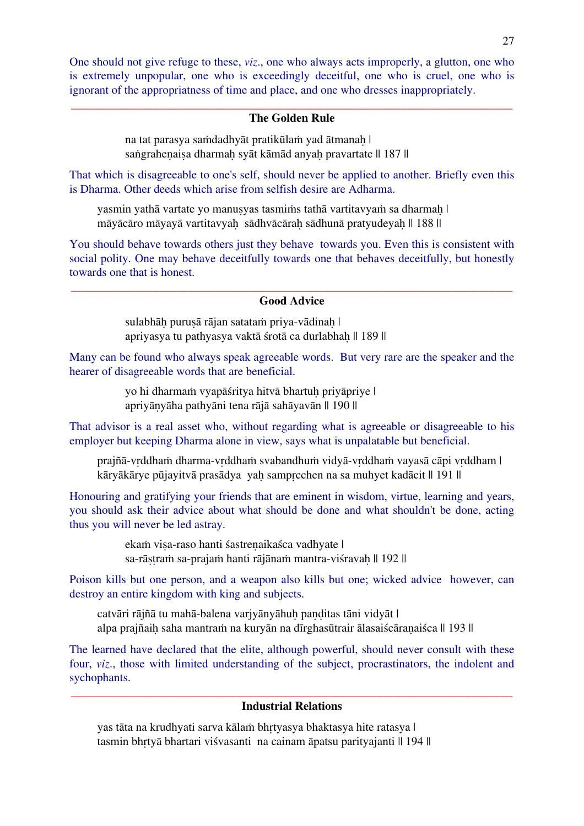One should not give refuge to these, *viz*., one who always acts improperly, a glutton, one who is extremely unpopular, one who is exceedingly deceitful, one who is cruel, one who is ignorant of the appropriatness of time and place, and one who dresses inappropriately.

#### \_\_\_\_\_\_\_\_\_\_\_\_\_\_\_\_\_\_\_\_\_\_\_\_\_\_\_\_\_\_\_\_\_\_\_\_\_\_\_\_\_\_\_\_\_\_\_\_\_\_\_\_\_\_\_\_\_\_\_\_\_\_\_\_\_\_\_\_\_\_\_\_\_\_\_ **The Golden Rule**

na tat parasya saṁdadhyāt pratikūlam yad ātmanah | saṅgrahenaisa dharmah syāt kāmād anyah pravartate || 187 ||

That which is disagreeable to one's self, should never be applied to another. Briefly even this is Dharma. Other deeds which arise from selfish desire are Adharma.

yasmin yathā vartate yo manusyas tasmims tathā vartitavyam sa dharmah | māyācāro māyayā vartitavyah sādhvācārah sādhunā pratyudeyah || 188 ||

You should behave towards others just they behave towards you. Even this is consistent with social polity. One may behave deceitfully towards one that behaves deceitfully, but honestly towards one that is honest.

#### \_\_\_\_\_\_\_\_\_\_\_\_\_\_\_\_\_\_\_\_\_\_\_\_\_\_\_\_\_\_\_\_\_\_\_\_\_\_\_\_\_\_\_\_\_\_\_\_\_\_\_\_\_\_\_\_\_\_\_\_\_\_\_\_\_\_\_\_\_\_\_\_\_\_\_ **Good Advice**

sulabhāḥ puruṣā rājan satatam priya-vādinah | apriyasya tu pathyasya vaktā śrotā ca durlabhah || 189 ||

Many can be found who always speak agreeable words. But very rare are the speaker and the hearer of disagreeable words that are beneficial.

> yo hi dharmam vyapāśritya hitvā bhartuh priyāpriye | apriyāṇyāha pathyāni tena rājā sahāyavān || 190 ||

That advisor is a real asset who, without regarding what is agreeable or disagreeable to his employer but keeping Dharma alone in view, says what is unpalatable but beneficial.

prajñā-vrddham dharma-vrddham svabandhum vidyā-vrddham vayasā cāpi vrddham | kāryākārye pūjayitvā prasādya yah samprcchen na sa muhyet kadācit || 191 ||

Honouring and gratifying your friends that are eminent in wisdom, virtue, learning and years, you should ask their advice about what should be done and what shouldn't be done, acting thus you will never be led astray.

> ekam visa-raso hanti śastrenaikaśca vadhyate | sa-rāṣṭraṁ sa-prajaṁ hanti rājānaṁ mantra-viśravaḥ || 192 ||

Poison kills but one person, and a weapon also kills but one; wicked advice however, can destroy an entire kingdom with king and subjects.

catvāri rājñā tu mahā-balena varjyānyāhuh panditas tāni vidyāt | alpa prajñaih saha mantram na kuryān na dīrghasūtrair ālasaiścāranaiśca || 193 ||

The learned have declared that the elite, although powerful, should never consult with these four, *viz*., those with limited understanding of the subject, procrastinators, the indolent and sychophants.

#### \_\_\_\_\_\_\_\_\_\_\_\_\_\_\_\_\_\_\_\_\_\_\_\_\_\_\_\_\_\_\_\_\_\_\_\_\_\_\_\_\_\_\_\_\_\_\_\_\_\_\_\_\_\_\_\_\_\_\_\_\_\_\_\_\_\_\_\_\_\_\_\_\_\_\_ **Industrial Relations**

yas tāta na krudhyati sarva kālam bhrtyasya bhaktasya hite ratasya | tasmin bhrtyā bhartari viśvasanti na cainam āpatsu parityajanti || 194 ||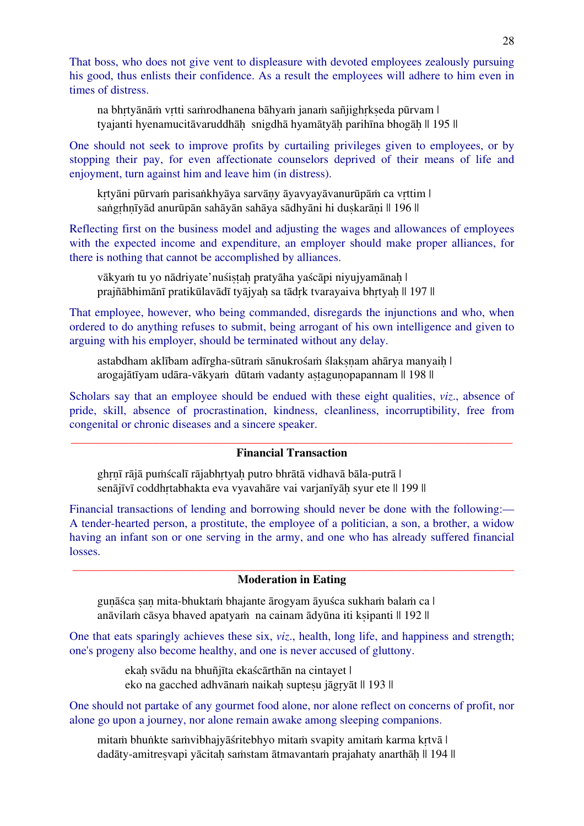That boss, who does not give vent to displeasure with devoted employees zealously pursuing his good, thus enlists their confidence. As a result the employees will adhere to him even in times of distress.

na bhrtyānām vrtti samrodhanena bāhyam janam sañjighrkseda pūrvam | tyajanti hyenamucitāvaruddhāḥ snigdhā hyamātyāḥ parihīna bhogāḥ || 195 ||

One should not seek to improve profits by curtailing privileges given to employees, or by stopping their pay, for even affectionate counselors deprived of their means of life and enjoyment, turn against him and leave him (in distress).

kṛtyāni pūrvaṁ parisaṅkhyāya sarvāṇy āyavyayāvanurūpāṁ ca vṛttim | saṅgrhnīyād anurūpān sahāyān sahāya sādhyāni hi duṣkarāṇi || 196 ||

Reflecting first on the business model and adjusting the wages and allowances of employees with the expected income and expenditure, an employer should make proper alliances, for there is nothing that cannot be accomplished by alliances.

vākyam tu yo nādriyate'nuśistah pratyāha yaścāpi niyujyamānah | prajñābhimānī pratikūlavādī tyājyah sa tādrk tvarayaiva bhrtyah || 197 ||

That employee, however, who being commanded, disregards the injunctions and who, when ordered to do anything refuses to submit, being arrogant of his own intelligence and given to arguing with his employer, should be terminated without any delay.

astabdham aklībam adīrgha-sūtram sānukrośam ślaksnam ahārya manyaih | arogajātīyam udāra-vākyam dūtam vadanty astagunopapannam || 198 ||

Scholars say that an employee should be endued with these eight qualities, *viz*., absence of pride, skill, absence of procrastination, kindness, cleanliness, incorruptibility, free from congenital or chronic diseases and a sincere speaker.

#### \_\_\_\_\_\_\_\_\_\_\_\_\_\_\_\_\_\_\_\_\_\_\_\_\_\_\_\_\_\_\_\_\_\_\_\_\_\_\_\_\_\_\_\_\_\_\_\_\_\_\_\_\_\_\_\_\_\_\_\_\_\_\_\_\_\_\_\_\_\_\_\_\_\_\_ **Financial Transaction**

ghrnī rājā puṁścalī rājabhrtyah putro bhrātā vidhavā bāla-putrā | senājīvī coddhrtabhakta eva vyavahāre vai varjanīyāh syur ete || 199 ||

Financial transactions of lending and borrowing should never be done with the following:— A tender-hearted person, a prostitute, the employee of a politician, a son, a brother, a widow having an infant son or one serving in the army, and one who has already suffered financial losses.

#### \_\_\_\_\_\_\_\_\_\_\_\_\_\_\_\_\_\_\_\_\_\_\_\_\_\_\_\_\_\_\_\_\_\_\_\_\_\_\_\_\_\_\_\_\_\_\_\_\_\_\_\_\_\_\_\_\_\_\_\_\_\_\_\_\_\_\_\_\_\_\_\_\_\_\_ **Moderation in Eating**

gunāśca san mita-bhuktam bhajante ārogyam āyuśca sukham balam ca | anāvilaṁ cāsya bhaved apatyaṁ na cainam ādyūna iti kṣipanti || 192 ||

One that eats sparingly achieves these six, *viz*., health, long life, and happiness and strength; one's progeny also become healthy, and one is never accused of gluttony.

> ekah svādu na bhuñjīta ekaścārthān na cintayet | eko na gacched adhvānam naikah suptesu jāgryāt || 193 ||

One should not partake of any gourmet food alone, nor alone reflect on concerns of profit, nor alone go upon a journey, nor alone remain awake among sleeping companions.

mitaṁ bhuṅkte saṁvibhajyāśritebhyo mitaṁ svapity amitaṁ karma kṛtvā | dadāty-amitresvapi yācitah saṁstam ātmavantaṁ prajahaty anarthāh || 194 ||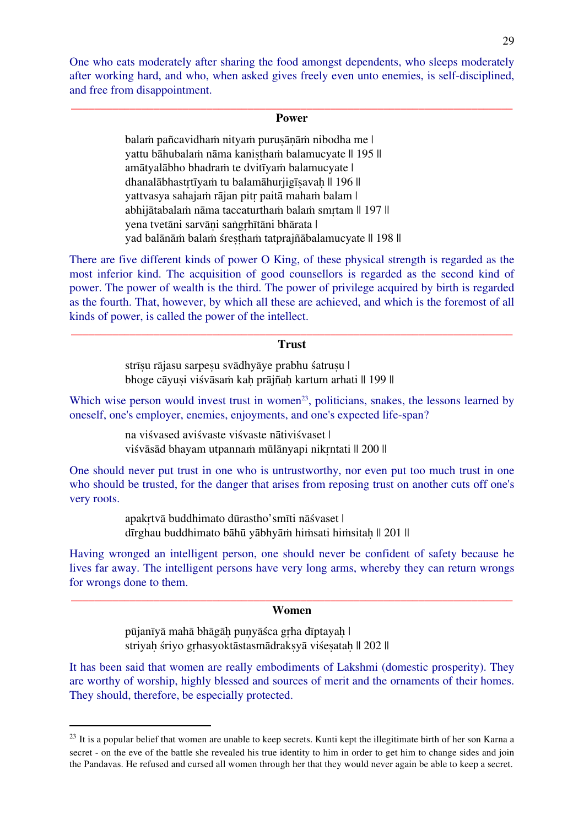One who eats moderately after sharing the food amongst dependents, who sleeps moderately after working hard, and who, when asked gives freely even unto enemies, is self-disciplined, and free from disappointment.

#### \_\_\_\_\_\_\_\_\_\_\_\_\_\_\_\_\_\_\_\_\_\_\_\_\_\_\_\_\_\_\_\_\_\_\_\_\_\_\_\_\_\_\_\_\_\_\_\_\_\_\_\_\_\_\_\_\_\_\_\_\_\_\_\_\_\_\_\_\_\_\_\_\_\_\_ **Power**

balam pañcavidham nityam purusānām nibodha me | yattu bāhubalam nāma kanistham balamucyate || 195 || amātyalābho bhadraṁ te dvitīyaṁ balamucyate | dhanalābhastrtīyam tu balamāhurjigīsavah || 196 || yattvasya sahajaṁ rājan pitṛ paitā mahaṁ balam | abhijātabalaṁ nāma taccaturthaṁ balaṁ smṛtam || 197 || yena tvetāni sarvāni saṅgrhītāni bhārata | yad balānām balam śrestham tatprajñābalamucyate || 198 ||

There are five different kinds of power O King, of these physical strength is regarded as the most inferior kind. The acquisition of good counsellors is regarded as the second kind of power. The power of wealth is the third. The power of privilege acquired by birth is regarded as the fourth. That, however, by which all these are achieved, and which is the foremost of all kinds of power, is called the power of the intellect.

#### \_\_\_\_\_\_\_\_\_\_\_\_\_\_\_\_\_\_\_\_\_\_\_\_\_\_\_\_\_\_\_\_\_\_\_\_\_\_\_\_\_\_\_\_\_\_\_\_\_\_\_\_\_\_\_\_\_\_\_\_\_\_\_\_\_\_\_\_\_\_\_\_\_\_\_ **Trust**

strīsu rājasu sarpesu svādhyāye prabhu śatrusu | bhoge cāyusi viśvāsaṁ kah prājñah kartum arhati || 199 ||

Which wise person would invest trust in women<sup>23</sup>, politicians, snakes, the lessons learned by oneself, one's employer, enemies, enjoyments, and one's expected life-span?

> na viśvased aviśvaste viśvaste nātiviśvaset | viśvāsād bhayam utpannaṁ mūlānyapi nikṛntati || 200 ||

One should never put trust in one who is untrustworthy, nor even put too much trust in one who should be trusted, for the danger that arises from reposing trust on another cuts off one's very roots.

> apakṛtvā buddhimato dūrastho'smīti nāśvaset | dīrghau buddhimato bāhū yābhyām himsati himsitah || 201 ||

Having wronged an intelligent person, one should never be confident of safety because he lives far away. The intelligent persons have very long arms, whereby they can return wrongs for wrongs done to them.

#### \_\_\_\_\_\_\_\_\_\_\_\_\_\_\_\_\_\_\_\_\_\_\_\_\_\_\_\_\_\_\_\_\_\_\_\_\_\_\_\_\_\_\_\_\_\_\_\_\_\_\_\_\_\_\_\_\_\_\_\_\_\_\_\_\_\_\_\_\_\_\_\_\_\_\_ **Women**

pūjanīyā mahā bhāgāḥ puṇyāśca gṛha dīptayaḥ | striyah śriyo grhasyoktāstasmādraksyā viśesatah || 202 ||

It has been said that women are really embodiments of Lakshmi (domestic prosperity). They are worthy of worship, highly blessed and sources of merit and the ornaments of their homes. They should, therefore, be especially protected.

<sup>&</sup>lt;sup>23</sup> It is a popular belief that women are unable to keep secrets. Kunti kept the illegitimate birth of her son Karna a secret - on the eve of the battle she revealed his true identity to him in order to get him to change sides and join the Pandavas. He refused and cursed all women through her that they would never again be able to keep a secret.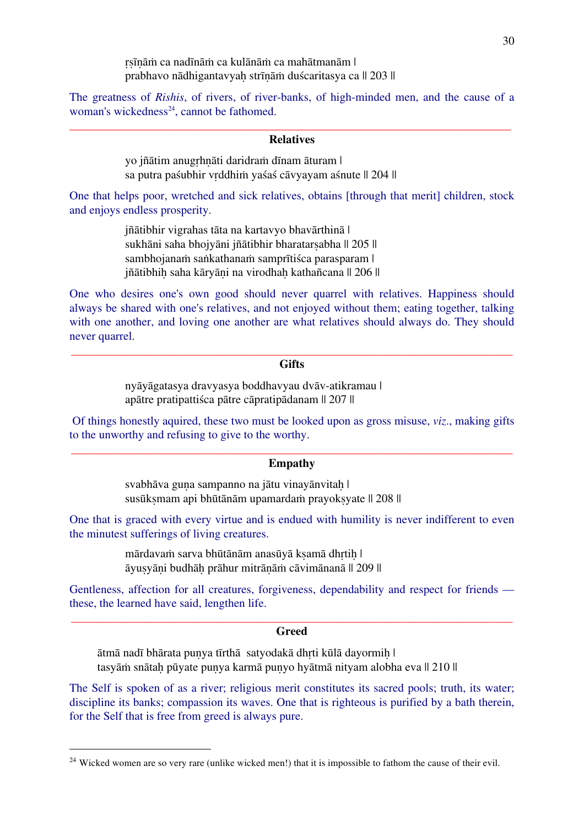ṛṣīṇāṁ ca nadīnāṁ ca kulānāṁ ca mahātmanām | prabhavo nādhigantavyah strīnām duścaritasya ca || 203 ||

The greatness of *Rishis*, of rivers, of river-banks, of high-minded men, and the cause of a woman's wickedness $24$ , cannot be fathomed.

#### \_\_\_\_\_\_\_\_\_\_\_\_\_\_\_\_\_\_\_\_\_\_\_\_\_\_\_\_\_\_\_\_\_\_\_\_\_\_\_\_\_\_\_\_\_\_\_\_\_\_\_\_\_\_\_\_\_\_\_\_\_\_\_\_\_\_\_\_\_\_\_\_\_\_\_ **Relatives**

yo jñātim anugṛhṇāti daridraṁ dīnam āturam | sa putra paśubhir vrddhim yaśaś cāvyayam aśnute || 204 ||

One that helps poor, wretched and sick relatives, obtains [through that merit] children, stock and enjoys endless prosperity.

> jñātibhir vigrahas tāta na kartavyo bhavārthinā | sukhāni saha bhojyāni jñātibhir bharatarsabha || 205 || sambhojanaṁ saṅkathanaṁ samprītiśca parasparam | jñātibhih saha kāryāni na virodhah kathañcana || 206 ||

One who desires one's own good should never quarrel with relatives. Happiness should always be shared with one's relatives, and not enjoyed without them; eating together, talking with one another, and loving one another are what relatives should always do. They should never quarrel.

#### \_\_\_\_\_\_\_\_\_\_\_\_\_\_\_\_\_\_\_\_\_\_\_\_\_\_\_\_\_\_\_\_\_\_\_\_\_\_\_\_\_\_\_\_\_\_\_\_\_\_\_\_\_\_\_\_\_\_\_\_\_\_\_\_\_\_\_\_\_\_\_\_\_\_\_ **Gifts**

nyāyāgatasya dravyasya boddhavyau dvāv-atikramau | apātre pratipattiśca pātre cāpratipādanam || 207 ||

Of things honestly aquired, these two must be looked upon as gross misuse, *viz*., making gifts to the unworthy and refusing to give to the worthy.

#### \_\_\_\_\_\_\_\_\_\_\_\_\_\_\_\_\_\_\_\_\_\_\_\_\_\_\_\_\_\_\_\_\_\_\_\_\_\_\_\_\_\_\_\_\_\_\_\_\_\_\_\_\_\_\_\_\_\_\_\_\_\_\_\_\_\_\_\_\_\_\_\_\_\_\_ **Empathy**

svabhāva guna sampanno na jātu vinayānvitah | susūksmam api bhūtānām upamardam prayoksyate || 208 ||

One that is graced with every virtue and is endued with humility is never indifferent to even the minutest sufferings of living creatures.

> mārdavaṁ sarva bhūtānām anasūyā kṣamā dhrtih | āyuṣyāṇi budhāḥ prāhur mitrāṇāṁ cāvimānanā || 209 ||

Gentleness, affection for all creatures, forgiveness, dependability and respect for friends these, the learned have said, lengthen life.

#### \_\_\_\_\_\_\_\_\_\_\_\_\_\_\_\_\_\_\_\_\_\_\_\_\_\_\_\_\_\_\_\_\_\_\_\_\_\_\_\_\_\_\_\_\_\_\_\_\_\_\_\_\_\_\_\_\_\_\_\_\_\_\_\_\_\_\_\_\_\_\_\_\_\_\_ **Greed**

ātmā nadī bhārata puṇya tīrthā satyodakā dhṛti kūlā dayormiḥ | tasyām snātah pūyate punya karmā punyo hyātmā nityam alobha eva || 210 ||

The Self is spoken of as a river; religious merit constitutes its sacred pools; truth, its water; discipline its banks; compassion its waves. One that is righteous is purified by a bath therein, for the Self that is free from greed is always pure.

<sup>&</sup>lt;sup>24</sup> Wicked women are so very rare (unlike wicked men!) that it is impossible to fathom the cause of their evil.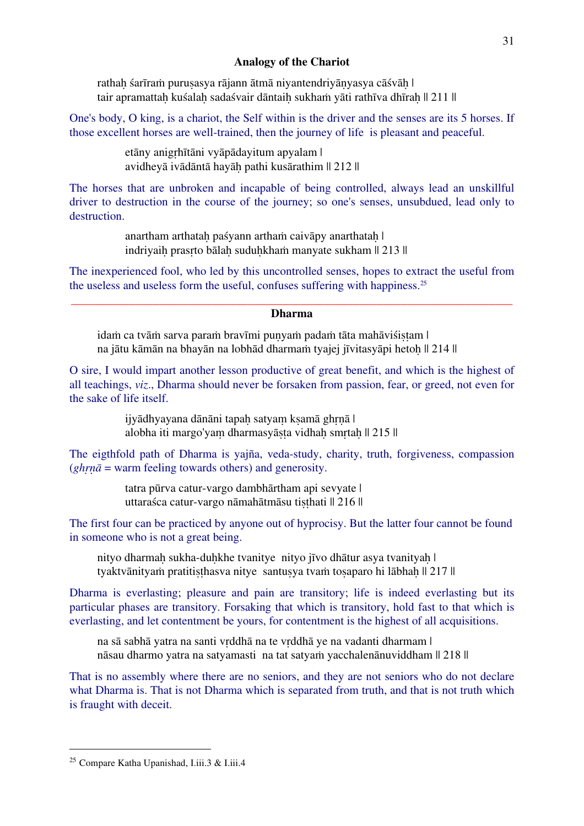#### **Analogy of the Chariot**

rathah śarīram purusasya rājann ātmā niyantendriyānyasya cāśvāh | tair apramattah kuśalah sadaśvair dāntaih sukhaṁ vāti rathīva dhīrah || 211 ||

One's body, O king, is a chariot, the Self within is the driver and the senses are its 5 horses. If those excellent horses are well-trained, then the journey of life is pleasant and peaceful.

> etāny anigṛhītāni vyāpādayitum apyalam | avidheyā ivādāntā hayāḥ pathi kusārathim || 212 ||

The horses that are unbroken and incapable of being controlled, always lead an unskillful driver to destruction in the course of the journey; so one's senses, unsubdued, lead only to destruction.

> anartham arthatah paśyann artham caivāpy anarthatah | indriyaih prasrto bālah suduhkhaṁ manyate sukham || 213 ||

The inexperienced fool, who led by this uncontrolled senses, hopes to extract the useful from the useless and useless form the useful, confuses suffering with happiness.25

#### \_\_\_\_\_\_\_\_\_\_\_\_\_\_\_\_\_\_\_\_\_\_\_\_\_\_\_\_\_\_\_\_\_\_\_\_\_\_\_\_\_\_\_\_\_\_\_\_\_\_\_\_\_\_\_\_\_\_\_\_\_\_\_\_\_\_\_\_\_\_\_\_\_\_\_ **Dharma**

idaṁ ca tvāṁ sarva paraṁ bravīmi puṇyaṁ padaṁ tāta mahāviśiṣṭam | na jātu kāmān na bhayān na lobhād dharmaṁ tyajej jīvitasyāpi hetoḥ || 214 ||

O sire, I would impart another lesson productive of great benefit, and which is the highest of all teachings, *viz*., Dharma should never be forsaken from passion, fear, or greed, not even for the sake of life itself.

> ijyādhyayana dānāni tapah satyam kṣamā ghrnā | alobha iti margo'yam dharmasyāsta vidhah smrtah || 215 ||

The eigthfold path of Dharma is yajña, veda-study, charity, truth, forgiveness, compassion (*ghṛṇā* = warm feeling towards others) and generosity.

> tatra pūrva catur-vargo dambhārtham api sevyate | uttaraśca catur-vargo nāmahātmāsu tiṣṭhati || 216 ||

The first four can be practiced by anyone out of hyprocisy. But the latter four cannot be found in someone who is not a great being.

nityo dharmah sukha-duhkhe tvanitye nityo jīvo dhātur asya tvanityah | tyaktvānityam pratitisthasva nitye santusya tvam tosaparo hi lābhah || 217 ||

Dharma is everlasting; pleasure and pain are transitory; life is indeed everlasting but its particular phases are transitory. Forsaking that which is transitory, hold fast to that which is everlasting, and let contentment be yours, for contentment is the highest of all acquisitions.

na sā sabhā yatra na santi vṛddhā na te vṛddhā ye na vadanti dharmam | nāsau dharmo yatra na satyamasti na tat satyaṁ yacchalenānuviddham || 218 ||

That is no assembly where there are no seniors, and they are not seniors who do not declare what Dharma is. That is not Dharma which is separated from truth, and that is not truth which is fraught with deceit.

 <sup>25</sup> Compare Katha Upanishad, I.iii.3 & I.iii.4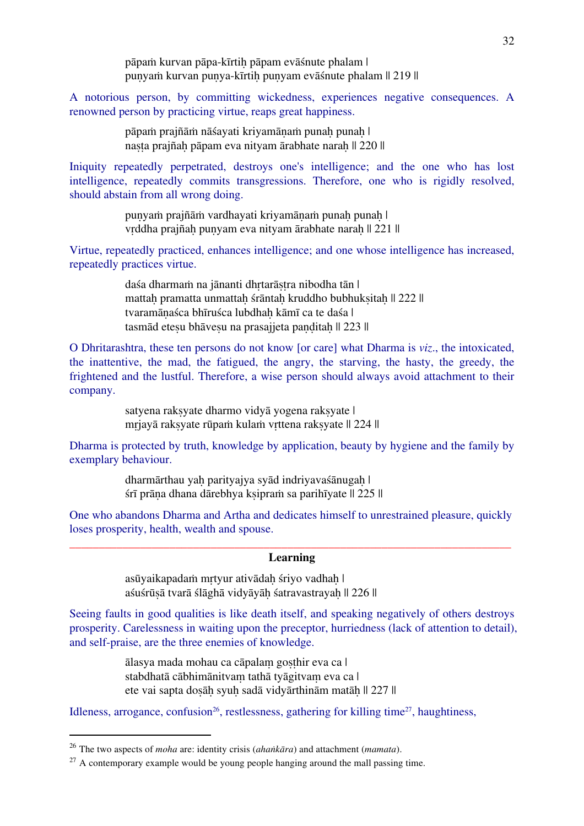pāpaṁ kurvan pāpa-kīrtiḥ pāpam evāśnute phalam | punyam kurvan punya-kīrtiḥ punyam evāśnute phalam || 219 ||

A notorious person, by committing wickedness, experiences negative consequences. A renowned person by practicing virtue, reaps great happiness.

> pāpam prajñām nāśayati kriyamānam punah punah | nasta prajñah pāpam eva nityam ārabhate narah || 220 ||

Iniquity repeatedly perpetrated, destroys one's intelligence; and the one who has lost intelligence, repeatedly commits transgressions. Therefore, one who is rigidly resolved, should abstain from all wrong doing.

> punyaṁ prajñāṁ vardhayati kriyamānaṁ punah punah | vrddha prajñah punyam eva nityam ārabhate naraḥ || 221 ||

Virtue, repeatedly practiced, enhances intelligence; and one whose intelligence has increased, repeatedly practices virtue.

> daśa dharmaṁ na jānanti dhrtarāstra nibodha tān | mattah pramatta unmattah śrāntah kruddho bubhuksitah || 222 || tvaramānaśca bhīruśca lubdhah kāmī ca te daśa | tasmād etesu bhāvesu na prasajieta panditah || 223 ||

O Dhritarashtra, these ten persons do not know [or care] what Dharma is *viz*., the intoxicated, the inattentive, the mad, the fatigued, the angry, the starving, the hasty, the greedy, the frightened and the lustful. Therefore, a wise person should always avoid attachment to their company.

> satyena raksyate dharmo vidyā yogena raksyate | mṛjayā rakṣyate rūpaṁ kulaṁ vṛttena rakṣyate || 224 ||

Dharma is protected by truth, knowledge by application, beauty by hygiene and the family by exemplary behaviour.

> dharmārthau yah parityajya syād indriyavaśānugah | śrī prāṇa dhana dārebhya kṣipraṁ sa parihīyate || 225 ||

One who abandons Dharma and Artha and dedicates himself to unrestrained pleasure, quickly loses prosperity, health, wealth and spouse.

#### \_\_\_\_\_\_\_\_\_\_\_\_\_\_\_\_\_\_\_\_\_\_\_\_\_\_\_\_\_\_\_\_\_\_\_\_\_\_\_\_\_\_\_\_\_\_\_\_\_\_\_\_\_\_\_\_\_\_\_\_\_\_\_\_\_\_\_\_\_\_\_\_\_\_\_ **Learning**

asūyaikapadam mrtyur ativādah śriyo vadhah | aśuśrūṣā tvarā ślāghā vidyāyāḥ śatravastrayaḥ || 226 ||

Seeing faults in good qualities is like death itself, and speaking negatively of others destroys prosperity. Carelessness in waiting upon the preceptor, hurriedness (lack of attention to detail), and self-praise, are the three enemies of knowledge.

> ālasya mada mohau ca cāpalaṃ goṣṭhir eva ca | stabdhatā cābhimānitvam tathā tyāgitvam eva ca | ete vai sapta dosāh syuh sadā vidyārthinām matāh || 227 ||

Idleness, arrogance, confusion<sup>26</sup>, restlessness, gathering for killing time<sup>27</sup>, haughtiness,

 <sup>26</sup> The two aspects of *moha* are: identity crisis (*ahaṅkāra*) and attachment (*mamata*).

 $27$  A contemporary example would be young people hanging around the mall passing time.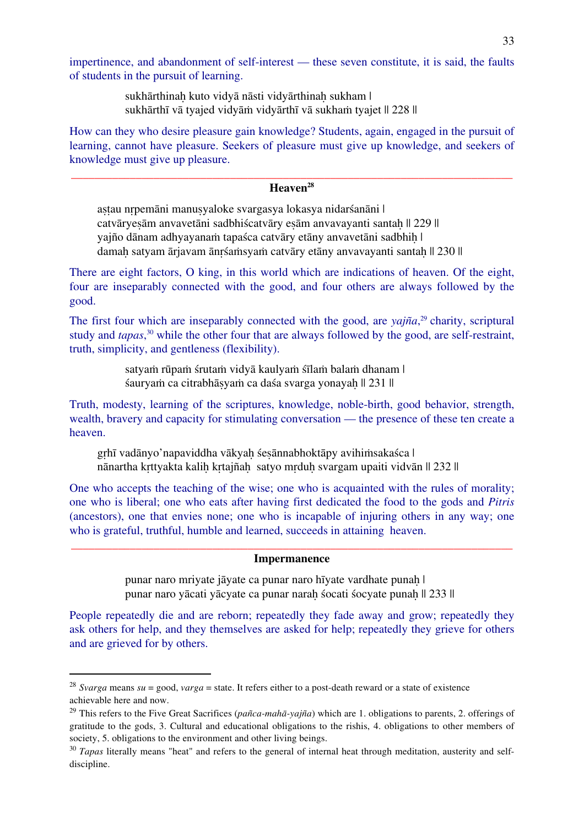impertinence, and abandonment of self-interest — these seven constitute, it is said, the faults of students in the pursuit of learning.

> sukhārthinah kuto vidyā nāsti vidyārthinah sukham | sukhārthī vā tyajed vidyāṁ vidyārthī vā sukhaṁ tyajet || 228 ||

How can they who desire pleasure gain knowledge? Students, again, engaged in the pursuit of learning, cannot have pleasure. Seekers of pleasure must give up knowledge, and seekers of knowledge must give up pleasure.

#### \_\_\_\_\_\_\_\_\_\_\_\_\_\_\_\_\_\_\_\_\_\_\_\_\_\_\_\_\_\_\_\_\_\_\_\_\_\_\_\_\_\_\_\_\_\_\_\_\_\_\_\_\_\_\_\_\_\_\_\_\_\_\_\_\_\_\_\_\_\_\_\_\_\_\_ **Heaven28**

astau nrpemāni manusyaloke svargasya lokasya nidarśanāni | catvāryesām anvavetāni sadbhiścatvāry esām anvavayanti santah || 229 || yajño dānam adhyayanaṁ tapaśca catvāry etāny anvavetāni sadbhih | damah satyam ārjavam ānrśaṁsyaṁ catvāry etāny anvavayanti santah || 230 ||

There are eight factors, O king, in this world which are indications of heaven. Of the eight, four are inseparably connected with the good, and four others are always followed by the good.

The first four which are inseparably connected with the good, are *yajña*, <sup>29</sup> charity, scriptural study and *tapas*, <sup>30</sup> while the other four that are always followed by the good, are self-restraint, truth, simplicity, and gentleness (flexibility).

> satyam rūpam śrutam vidyā kaulyam śīlam balam dhanam | śauryaṁ ca citrabhāṣyaṁ ca daśa svarga yonayaḥ || 231 ||

Truth, modesty, learning of the scriptures, knowledge, noble-birth, good behavior, strength, wealth, bravery and capacity for stimulating conversation — the presence of these ten create a heaven.

grhī vadānyo'napaviddha vākyaḥ śeṣānnabhoktāpy avihiṁsakaśca | nānartha krttyakta kalih krtajñah satyo mrduh svargam upaiti vidvān || 232 ||

One who accepts the teaching of the wise; one who is acquainted with the rules of morality; one who is liberal; one who eats after having first dedicated the food to the gods and *Pitris* (ancestors), one that envies none; one who is incapable of injuring others in any way; one who is grateful, truthful, humble and learned, succeeds in attaining heaven.

#### \_\_\_\_\_\_\_\_\_\_\_\_\_\_\_\_\_\_\_\_\_\_\_\_\_\_\_\_\_\_\_\_\_\_\_\_\_\_\_\_\_\_\_\_\_\_\_\_\_\_\_\_\_\_\_\_\_\_\_\_\_\_\_\_\_\_\_\_\_\_\_\_\_\_\_ **Impermanence**

punar naro mriyate jāyate ca punar naro hīyate vardhate punaḥ | punar naro yācati yācyate ca punar naraḥ śocati śocyate punaḥ || 233 ||

People repeatedly die and are reborn; repeatedly they fade away and grow; repeatedly they ask others for help, and they themselves are asked for help; repeatedly they grieve for others and are grieved for by others.

 <sup>28</sup> *Svarga* means *su* = good, *varga* = state. It refers either to a post-death reward or a state of existence achievable here and now.

<sup>29</sup> This refers to the Five Great Sacrifices (*pañca-mahā-yajña*) which are 1. obligations to parents, 2. offerings of gratitude to the gods, 3. Cultural and educational obligations to the rishis, 4. obligations to other members of society, 5. obligations to the environment and other living beings.

<sup>&</sup>lt;sup>30</sup> *Tapas* literally means "heat" and refers to the general of internal heat through meditation, austerity and selfdiscipline.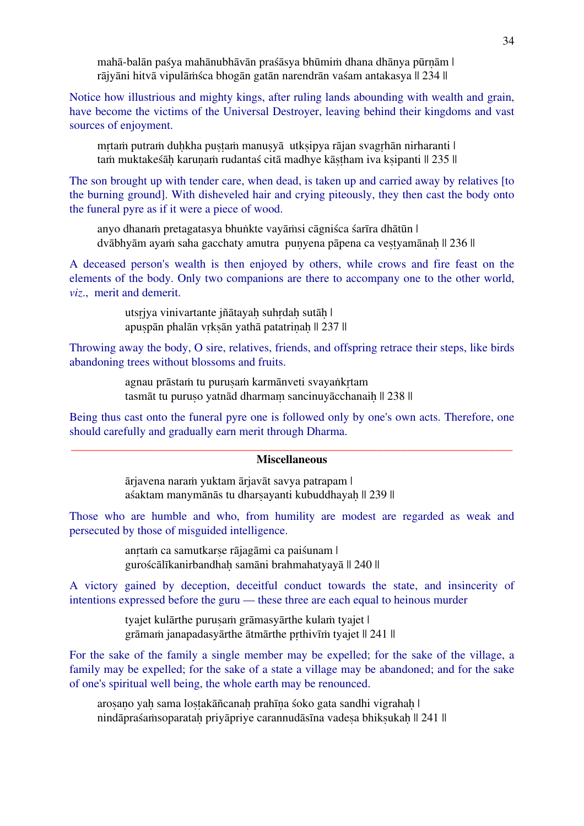mahā-balān paśya mahānubhāvān praśāsya bhūmiṁ dhana dhānya pūrṇām | rājyāni hitvā vipulāṁśca bhogān gatān narendrān vaśam antakasya || 234 ||

Notice how illustrious and mighty kings, after ruling lands abounding with wealth and grain, have become the victims of the Universal Destroyer, leaving behind their kingdoms and vast sources of enjoyment.

mrtam putram duhkha pustam manusyā utksipya rājan svagrhān nirharanti | tam muktakeśāh karunam rudantaś citā madhye kāstham iva ksipanti || 235 ||

The son brought up with tender care, when dead, is taken up and carried away by relatives [to the burning ground]. With disheveled hair and crying piteously, they then cast the body onto the funeral pyre as if it were a piece of wood.

anyo dhanaṁ pretagatasya bhuṅkte vayāṁsi cāgniśca śarīra dhātūn | dvābhyām ayaṁ saha gacchaty amutra puṇyena pāpena ca veṣṭyamānaḥ || 236 ||

A deceased person's wealth is then enjoyed by others, while crows and fire feast on the elements of the body. Only two companions are there to accompany one to the other world, *viz*., merit and demerit.

> utsrįya vinivartante jñātayah suhrdah sutāh | apuṣpān phalān vṛkṣān yathā patatriṇaḥ || 237 ||

Throwing away the body, O sire, relatives, friends, and offspring retrace their steps, like birds abandoning trees without blossoms and fruits.

> agnau prāstaṁ tu puruṣaṁ karmānveti svayaṅkṛtam tasmāt tu puruso yatnād dharmam sancinuyācchanaih || 238 ||

Being thus cast onto the funeral pyre one is followed only by one's own acts. Therefore, one should carefully and gradually earn merit through Dharma.

#### \_\_\_\_\_\_\_\_\_\_\_\_\_\_\_\_\_\_\_\_\_\_\_\_\_\_\_\_\_\_\_\_\_\_\_\_\_\_\_\_\_\_\_\_\_\_\_\_\_\_\_\_\_\_\_\_\_\_\_\_\_\_\_\_\_\_\_\_\_\_\_\_\_\_\_ **Miscellaneous**

ārjavena naraṁ yuktam ārjavāt savya patrapam | aśaktam manymānās tu dharsayanti kubuddhayah || 239 ||

Those who are humble and who, from humility are modest are regarded as weak and persecuted by those of misguided intelligence.

> anṛtaṁ ca samutkarṣe rājagāmi ca paiśunam | guroścālīkanirbandhaḥ samāni brahmahatyayā || 240 ||

A victory gained by deception, deceitful conduct towards the state, and insincerity of intentions expressed before the guru — these three are each equal to heinous murder

> tyajet kulārthe purusam grāmasyārthe kulam tyajet | grāmaṁ janapadasyārthe ātmārthe pṛthivīṁ tyajet || 241 ||

For the sake of the family a single member may be expelled; for the sake of the village, a family may be expelled; for the sake of a state a village may be abandoned; and for the sake of one's spiritual well being, the whole earth may be renounced.

arosano yah sama lostakāñcanah prahīna śoko gata sandhi vigrahah | nindāpraśaṁsoparatah priyāpriye carannudāsīna vadesa bhiksukah || 241 ||